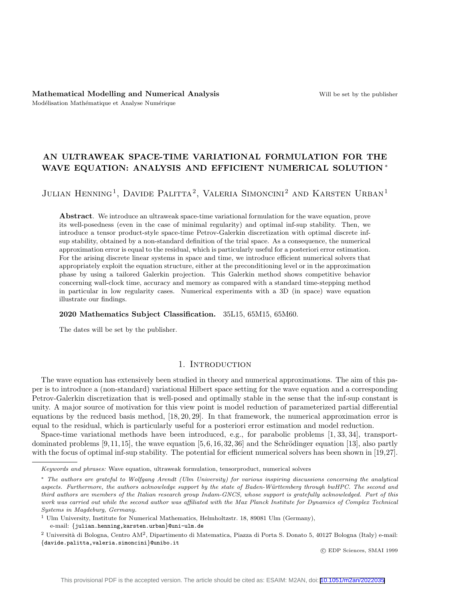# AN ULTRAWEAK SPACE-TIME VARIATIONAL FORMULATION FOR THE WAVE EQUATION: ANALYSIS AND EFFICIENT NUMERICAL SOLUTION \*

# Julian Henning<sup>1</sup>, Davide Palitta<sup>2</sup>, Valeria Simoncini<sup>2</sup> and Karsten Urban<sup>1</sup>

Abstract. We introduce an ultraweak space-time variational formulation for the wave equation, prove its well-posedness (even in the case of minimal regularity) and optimal inf-sup stability. Then, we introduce a tensor product-style space-time Petrov-Galerkin discretization with optimal discrete infsup stability, obtained by a non-standard definition of the trial space. As a consequence, the numerical approximation error is equal to the residual, which is particularly useful for a posteriori error estimation. For the arising discrete linear systems in space and time, we introduce efficient numerical solvers that appropriately exploit the equation structure, either at the preconditioning level or in the approximation phase by using a tailored Galerkin projection. This Galerkin method shows competitive behavior concerning wall-clock time, accuracy and memory as compared with a standard time-stepping method in particular in low regularity cases. Numerical experiments with a 3D (in space) wave equation illustrate our findings.

#### 2020 Mathematics Subject Classification. 35L15, 65M15, 65M60.

The dates will be set by the publisher.

#### 1. INTRODUCTION

The wave equation has extensively been studied in theory and numerical approximations. The aim of this paper is to introduce a (non-standard) variational Hilbert space setting for the wave equation and a corresponding Petrov-Galerkin discretization that is well-posed and optimally stable in the sense that the inf-sup constant is unity. A major source of motivation for this view point is model reduction of parameterized partial differential equations by the reduced basis method, [\[18,](#page-25-0) [20,](#page-25-1) [29\]](#page-25-2). In that framework, the numerical approximation error is equal to the residual, which is particularly useful for a posteriori error estimation and model reduction.

Space-time variational methods have been introduced, e.g., for parabolic problems [\[1,](#page-24-0) [33,](#page-25-3) [34\]](#page-25-4), transportdominated problems  $[9, 11, 15]$  $[9, 11, 15]$  $[9, 11, 15]$ , the wave equation  $[5, 6, 16, 32, 36]$  $[5, 6, 16, 32, 36]$  $[5, 6, 16, 32, 36]$  $[5, 6, 16, 32, 36]$  $[5, 6, 16, 32, 36]$  and the Schrödinger equation [\[13\]](#page-25-9), also partly with the focus of optimal inf-sup stability. The potential for efficient numerical solvers has been shown in [\[19,](#page-25-10)[27\]](#page-25-11).

<sup>1</sup> Ulm University, Institute for Numerical Mathematics, Helmholtzstr. 18, 89081 Ulm (Germany),

e-mail: {julian.henning,karsten.urban}@uni-ulm.de

c EDP Sciences, SMAI 1999

Keywords and phrases: Wave equation, ultraweak formulation, tensorproduct, numerical solvers

<sup>∗</sup> The authors are grateful to Wolfgang Arendt (Ulm University) for various inspiring discussions concerning the analytical aspects. Furthermore, the authors acknowledge support by the state of Baden-W¨urttemberg through bwHPC. The second and third authors are members of the Italian research group Indam-GNCS, whose support is gratefully acknowledged. Part of this work was carried out while the second author was affiliated with the Max Planck Institute for Dynamics of Complex Technical Systems in Magdeburg, Germany.

<sup>&</sup>lt;sup>2</sup> Università di Bologna, Centro AM<sup>2</sup>, Dipartimento di Matematica, Piazza di Porta S. Donato 5, 40127 Bologna (Italy) e-mail: {davide.palitta,valeria.simoncini}@unibo.it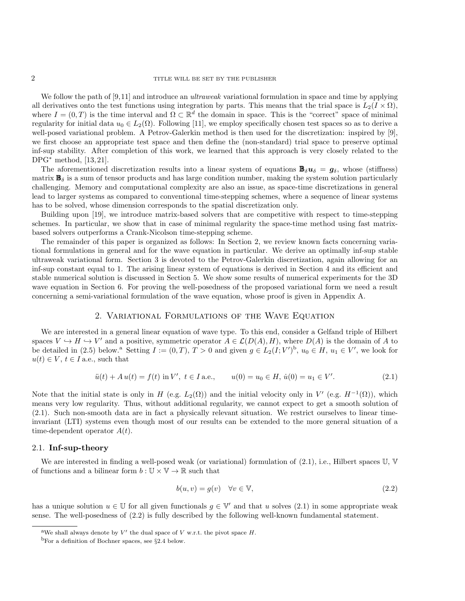We follow the path of [\[9,](#page-24-1)[11\]](#page-24-2) and introduce an *ultraweak* variational formulation in space and time by applying all derivatives onto the test functions using integration by parts. This means that the trial space is  $L_2(I \times \Omega)$ , where  $I = (0, T)$  is the time interval and  $\Omega \subset \mathbb{R}^d$  the domain in space. This is the "correct" space of minimal regularity for initial data  $u_0 \in L_2(\Omega)$ . Following [\[11\]](#page-24-2), we employ specifically chosen test spaces so as to derive a well-posed variational problem. A Petrov-Galerkin method is then used for the discretization: inspired by [\[9\]](#page-24-1), we first choose an appropriate test space and then define the (non-standard) trial space to preserve optimal inf-sup stability. After completion of this work, we learned that this approach is very closely related to the DPG<sup>∗</sup> method, [\[13,](#page-25-9) [21\]](#page-25-12).

The aforementioned discretization results into a linear system of equations  $\mathbf{B}_{\delta}u_{\delta} = g_{\delta}$ , whose (stiffness) matrix  $\mathbf{B}_{\delta}$  is a sum of tensor products and has large condition number, making the system solution particularly challenging. Memory and computational complexity are also an issue, as space-time discretizations in general lead to larger systems as compared to conventional time-stepping schemes, where a sequence of linear systems has to be solved, whose dimension corresponds to the spatial discretization only.

Building upon [\[19\]](#page-25-10), we introduce matrix-based solvers that are competitive with respect to time-stepping schemes. In particular, we show that in case of minimal regularity the space-time method using fast matrixbased solvers outperforms a Crank-Nicolson time-stepping scheme.

The remainder of this paper is organized as follows: In Section [2,](#page-1-0) we review known facts concerning variational formulations in general and for the wave equation in particular. We derive an optimally inf-sup stable ultraweak variational form. Section [3](#page-7-0) is devoted to the Petrov-Galerkin discretization, again allowing for an inf-sup constant equal to 1. The arising linear system of equations is derived in Section [4](#page-12-0) and its efficient and stable numerical solution is discussed in Section [5.](#page-16-0) We show some results of numerical experiments for the 3D wave equation in Section [6.](#page-19-0) For proving the well-posedness of the proposed variational form we need a result concerning a semi-variational formulation of the wave equation, whose proof is given in Appendix [A.](#page-20-0)

## 2. Variational Formulations of the Wave Equation

<span id="page-1-0"></span>We are interested in a general linear equation of wave type. To this end, consider a Gelfand triple of Hilbert spaces  $V \hookrightarrow H \hookrightarrow V'$  and a positive, symmetric operator  $A \in \mathcal{L}(D(A), H)$ , where  $D(A)$  is the domain of A to be detailed in [\(2.5\)](#page-2-0) below.<sup>[a](#page-1-1)</sup> Setting  $I := (0, T), T > 0$  and given  $g \in L_2(I; V')^b$  $g \in L_2(I; V')^b$ ,  $u_0 \in H$ ,  $u_1 \in V'$ , we look for  $u(t) \in V$ ,  $t \in I$  a.e., such that

<span id="page-1-3"></span>
$$
\ddot{u}(t) + A u(t) = f(t) \text{ in } V', \ t \in I \text{ a.e.,} \qquad u(0) = u_0 \in H, \ \dot{u}(0) = u_1 \in V'. \tag{2.1}
$$

Note that the initial state is only in H (e.g.  $L_2(\Omega)$ ) and the initial velocity only in V' (e.g.  $H^{-1}(\Omega)$ ), which means very low regularity. Thus, without additional regularity, we cannot expect to get a smooth solution of [\(2.1\)](#page-1-3). Such non-smooth data are in fact a physically relevant situation. We restrict ourselves to linear timeinvariant (LTI) systems even though most of our results can be extended to the more general situation of a time-dependent operator  $A(t)$ .

#### 2.1. Inf-sup-theory

We are interested in finding a well-posed weak (or variational) formulation of  $(2.1)$ , i.e., Hilbert spaces U, V of functions and a bilinear form  $b : \mathbb{U} \times \mathbb{V} \to \mathbb{R}$  such that

<span id="page-1-4"></span>
$$
b(u, v) = g(v) \quad \forall v \in \mathbb{V},\tag{2.2}
$$

has a unique solution  $u \in \mathbb{U}$  for all given functionals  $g \in \mathbb{V}'$  and that u solves  $(2.1)$  in some appropriate weak sense. The well-posedness of [\(2.2\)](#page-1-4) is fully described by the following well-known fundamental statement.

<span id="page-1-1"></span><sup>&</sup>lt;sup>a</sup>We shall always denote by  $V'$  the dual space of V w.r.t. the pivot space H.

<span id="page-1-2"></span><sup>&</sup>lt;sup>b</sup>For a definition of Bochner spaces, see  $\S 2.4$  $\S 2.4$  below.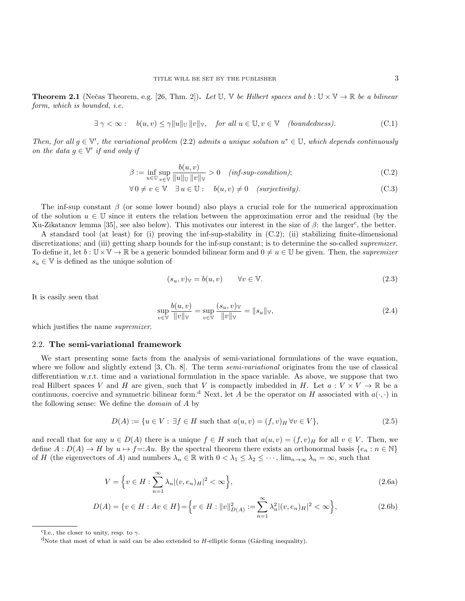<span id="page-2-3"></span>**Theorem 2.1** (Nečas Theorem, e.g. [\[26,](#page-25-13) Thm. 2]). Let U, V be Hilbert spaces and  $b : U \times V \rightarrow \mathbb{R}$  be a bilinear form, which is bounded, i.e.

$$
\exists \ \gamma < \infty : \quad b(u, v) \le \gamma \|u\|_{\mathbb{U}} \, \|v\|_{\mathbb{V}}, \quad \text{for all } u \in \mathbb{U}, v \in \mathbb{V} \quad \text{(boundedness)}.
$$

Then, for all  $g \in \mathbb{V}'$ , the variational problem [\(2.2\)](#page-1-4) admits a unique solution  $u^* \in \mathbb{U}$ , which depends continuously on the data  $g \in \mathbb{V}'$  if and only if

$$
\beta := \inf_{u \in \mathbb{U}} \sup_{v \in \mathbb{V}} \frac{b(u, v)}{\|u\|_{\mathbb{U}} \|v\|_{\mathbb{V}}} > 0 \quad (inf\text{-}sup\text{-}condition); \tag{C.2}
$$

$$
\forall 0 \neq v \in \mathbb{V} \quad \exists u \in \mathbb{U}: \quad b(u, v) \neq 0 \quad (surjectivity). \tag{C.3}
$$

The inf-sup constant  $\beta$  (or some lower bound) also plays a crucial role for the numerical approximation of the solution  $u \in \mathbb{U}$  since it enters the relation between the approximation error and the residual (by the Xu-Zikatanov lemma [\[35\]](#page-25-14), see also below). This motivates our interest in the size of  $\beta$ : the larger<sup>[c](#page-2-1)</sup>, the better.

A standard tool (at least) for (i) proving the inf-sup-stability in (C.2); (ii) stabilizing finite-dimensional discretizations; and (iii) getting sharp bounds for the inf-sup constant; is to determine the so-called *supremizer*. To define it, let  $b: \mathbb{U} \times \mathbb{V} \to \mathbb{R}$  be a generic bounded bilinear form and  $0 \neq u \in \mathbb{U}$  be given. Then, the *supremizer*  $s_u \in \mathbb{V}$  is defined as the unique solution of

$$
(s_u, v)_{\mathbb{V}} = b(u, v) \qquad \forall v \in \mathbb{V}.
$$
\n
$$
(2.3)
$$

It is easily seen that

<span id="page-2-4"></span><span id="page-2-0"></span>
$$
\sup_{v \in \mathbb{V}} \frac{b(u, v)}{\|v\|_{\mathbb{V}}} = \sup_{v \in \mathbb{V}} \frac{(s_u, v)_{\mathbb{V}}}{\|v\|_{\mathbb{V}}} = \|s_u\|_{\mathbb{V}},\tag{2.4}
$$

which justifies the name *supremizer*.

#### <span id="page-2-5"></span>2.2. The semi-variational framework

We start presenting some facts from the analysis of semi-variational formulations of the wave equation, where we follow and slightly extend [\[3,](#page-24-5) Ch. 8]. The term *semi-variational* originates from the use of classical differentiation w.r.t. time and a variational formulation in the space variable. As above, we suppose that two real Hilbert spaces V and H are given, such that V is compactly imbedded in H. Let  $a: V \times V \to \mathbb{R}$  be a continuous, coercive an[d](#page-2-2) symmetric bilinear form.<sup>d</sup> Next, let A be the operator on H associated with  $a(\cdot, \cdot)$  in the following sense: We define the domain of A by

$$
D(A) := \{ u \in V : \exists f \in H \text{ such that } a(u, v) = (f, v)_H \forall v \in V \},\tag{2.5}
$$

and recall that for any  $u \in D(A)$  there is a unique  $f \in H$  such that  $a(u, v) = (f, v)_H$  for all  $v \in V$ . Then, we define  $A: D(A) \to H$  by  $u \mapsto f =:Au$ . By the spectral theorem there exists an orthonormal basis  $\{e_n : n \in \mathbb{N}\}\$ of H (the eigenvectors of A) and numbers  $\lambda_n \in \mathbb{R}$  with  $0 < \lambda_1 \leq \lambda_2 \leq \cdots$ ,  $\lim_{n \to \infty} \lambda_n = \infty$ , such that

$$
V = \left\{ v \in H : \sum_{n=1}^{\infty} \lambda_n |(v, e_n)_H|^2 < \infty \right\},\tag{2.6a}
$$

$$
D(A) = \{ v \in H : Av \in H \} = \left\{ v \in H : ||v||^2_{D(A)} := \sum_{n=1}^{\infty} \lambda_n^2 |(v, e_n)_H|^2 < \infty \right\},\tag{2.6b}
$$

<span id="page-2-1"></span><sup>&</sup>lt;sup>c</sup>I.e., the closer to unity, resp. to  $\gamma$ .

<span id="page-2-2"></span><sup>&</sup>lt;sup>d</sup>Note that most of what is said can be also extended to *H*-elliptic forms (Gårding inequality).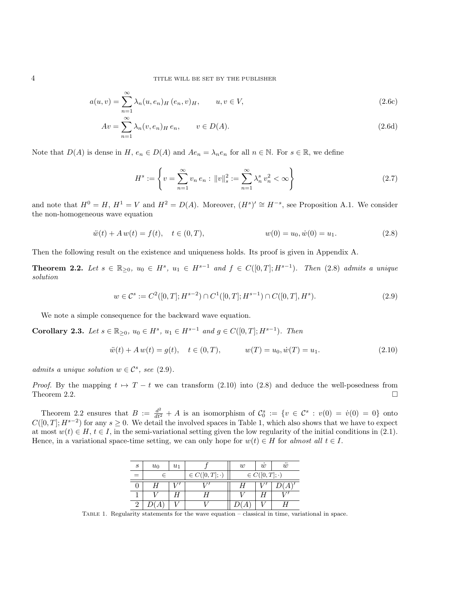4 TITLE WILL BE SET BY THE PUBLISHER

$$
a(u, v) = \sum_{n=1}^{\infty} \lambda_n(u, e_n) H(e_n, v) H, \qquad u, v \in V,
$$
\n(2.6c)

$$
Av = \sum_{n=1}^{\infty} \lambda_n (v, e_n)_H e_n, \qquad v \in D(A).
$$
 (2.6d)

Note that  $D(A)$  is dense in  $H$ ,  $e_n \in D(A)$  and  $Ae_n = \lambda_n e_n$  for all  $n \in \mathbb{N}$ . For  $s \in \mathbb{R}$ , we define

<span id="page-3-0"></span>
$$
H^s := \left\{ v = \sum_{n=1}^{\infty} v_n e_n : ||v||_s^2 := \sum_{n=1}^{\infty} \lambda_n^s v_n^2 < \infty \right\} \tag{2.7}
$$

and note that  $H^0 = H$ ,  $H^1 = V$  and  $H^2 = D(A)$ . Moreover,  $(H^s)' \cong H^{-s}$ , see Proposition [A.1.](#page-21-0) We consider the non-homogeneous wave equation

$$
\ddot{w}(t) + A w(t) = f(t), \quad t \in (0, T), \qquad w(0) = u_0, \dot{w}(0) = u_1. \tag{2.8}
$$

Then the following result on the existence and uniqueness holds. Its proof is given in Appendix [A.](#page-20-0)

<span id="page-3-3"></span>**Theorem 2.2.** Let  $s \in \mathbb{R}_{\geq 0}$ ,  $u_0 \in H^s$ ,  $u_1 \in H^{s-1}$  and  $f \in C([0,T]; H^{s-1})$ . Then [\(2.8\)](#page-3-0) admits a unique solution

<span id="page-3-1"></span>
$$
w \in \mathcal{C}^s := C^2([0, T]; H^{s-2}) \cap C^1([0, T]; H^{s-1}) \cap C([0, T], H^s). \tag{2.9}
$$

We note a simple consequence for the backward wave equation.

<span id="page-3-5"></span>Corollary 2.3. Let  $s \in \mathbb{R}_{\geq 0}$ ,  $u_0 \in H^s$ ,  $u_1 \in H^{s-1}$  and  $g \in C([0, T]; H^{s-1})$ . Then

<span id="page-3-2"></span>
$$
\ddot{w}(t) + A w(t) = g(t), \quad t \in (0, T), \qquad w(T) = u_0, \dot{w}(T) = u_1.
$$
\n(2.10)

admits a unique solution  $w \in \mathcal{C}^s$ , see [\(2.9\)](#page-3-1).

*Proof.* By the mapping  $t \mapsto T - t$  we can transform [\(2.10\)](#page-3-2) into [\(2.8\)](#page-3-0) and deduce the well-posedness from Theorem [2.2.](#page-3-3)

<span id="page-3-4"></span>Theorem [2.2](#page-3-3) ensures that  $B := \frac{d^2}{dt^2} + A$  is an isomorphism of  $\mathcal{C}_0^s := \{v \in \mathcal{C}^s : v(0) = \dot{v}(0) = 0\}$  onto  $C([0,T]; H^{s-2})$  for any  $s \geq 0$ . We detail the involved spaces in Table [1,](#page-3-4) which also shows that we have to expect at most  $w(t) \in H$ ,  $t \in I$ , in the semi-variational setting given the low regularity of the initial conditions in [\(2.1\)](#page-1-3). Hence, in a variational space-time setting, we can only hope for  $w(t) \in H$  for almost all  $t \in I$ .

| S   | $u_0$ | $u_1$ |                      | w                    | w |  |
|-----|-------|-------|----------------------|----------------------|---|--|
| $=$ |       |       | $\in C([0,T];\cdot)$ | $\in C([0,T];\cdot)$ |   |  |
|     |       |       |                      |                      |   |  |
|     |       |       |                      |                      |   |  |
|     |       |       |                      |                      |   |  |

Table 1. Regularity statements for the wave equation – classical in time, variational in space.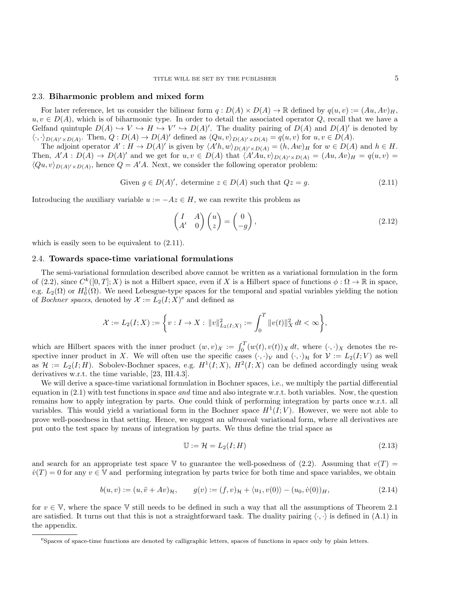## 2.3. Biharmonic problem and mixed form

For later reference, let us consider the bilinear form  $q: D(A) \times D(A) \to \mathbb{R}$  defined by  $q(u, v) := (Au, Av)_H$ ,  $u, v \in D(A)$ , which is of biharmonic type. In order to detail the associated operator Q, recall that we have a Gelfand quintuple  $D(A) \hookrightarrow V \hookrightarrow H \hookrightarrow V' \hookrightarrow D(A)'$ . The duality pairing of  $D(A)$  and  $D(A)'$  is denoted by  $\langle \cdot, \cdot \rangle_{D(A)'\times D(A)}$ . Then,  $Q: D(A) \to D(A)'$  defined as  $\langle Qu, v \rangle_{D(A)'\times D(A)} = q(u, v)$  for  $u, v \in D(A)$ .

The adjoint operator  $A': H \to D(A)'$  is given by  $\langle A'h, w \rangle_{D(A)' \times D(A)} = (h, Aw)_H$  for  $w \in D(A)$  and  $h \in H$ . Then,  $A'A : D(A) \to D(A)'$  and we get for  $u, v \in D(A)$  that  $\langle A'Au, v \rangle_{D(A)' \times D(A)} = (Au, Av)_H = q(u, v)$  $\langle Qu, v \rangle_{D(A)'\times D(A)}$ , hence  $Q = A'A$ . Next, we consider the following operator problem:

Given 
$$
g \in D(A)'
$$
, determine  $z \in D(A)$  such that  $Qz = g$ . (2.11)

Introducing the auxiliary variable  $u := -Az \in H$ , we can rewrite this problem as

<span id="page-4-4"></span><span id="page-4-1"></span>
$$
\begin{pmatrix} I & A \\ A' & 0 \end{pmatrix} \begin{pmatrix} u \\ z \end{pmatrix} = \begin{pmatrix} 0 \\ -g \end{pmatrix},
$$
\n(2.12)

which is easily seen to be equivalent to  $(2.11)$ .

## <span id="page-4-0"></span>2.4. Towards space-time variational formulations

The semi-variational formulation described above cannot be written as a variational formulation in the form of [\(2.2\)](#page-1-4), since  $C^k([0,T];X)$  is not a Hilbert space, even if X is a Hilbert space of functions  $\phi : \Omega \to \mathbb{R}$  in space, e.g.  $L_2(\Omega)$  or  $H_0^1(\Omega)$ . We need Lebesgue-type spaces for the temporal and spatial variables yielding the notion of Bochn[e](#page-4-2)r spaces, denoted by  $\mathcal{X} := L_2(I;X)$ <sup>e</sup> and defined as

$$
\mathcal{X} := L_2(I;X) := \left\{ v : I \to X : ||v||^2_{L_2(I;X)} := \int_0^T ||v(t)||^2_X dt < \infty \right\},\
$$

which are Hilbert spaces with the inner product  $(w, v)_\mathcal{X} := \int_0^T (w(t), v(t))_X dt$ , where  $(\cdot, \cdot)_X$  denotes the respective inner product in X. We will often use the specific cases  $(\cdot,\cdot)_\mathcal{V}$  and  $(\cdot,\cdot)_\mathcal{H}$  for  $\mathcal{V} := L_2(I;V)$  as well as  $\mathcal{H} := L_2(I;H)$ . Sobolev-Bochner spaces, e.g.  $H^1(I;X)$ ,  $H^2(I;X)$  can be defined accordingly using weak derivatives w.r.t. the time variable, [\[23,](#page-25-15) III.4.3].

We will derive a space-time variational formulation in Bochner spaces, i.e., we multiply the partial differential equation in  $(2.1)$  with test functions in space and time and also integrate w.r.t. both variables. Now, the question remains how to apply integration by parts. One could think of performing integration by parts once w.r.t. all variables. This would yield a variational form in the Bochner space  $H^1(I;V)$ . However, we were not able to prove well-posedness in that setting. Hence, we suggest an ultraweak variational form, where all derivatives are put onto the test space by means of integration by parts. We thus define the trial space as

<span id="page-4-3"></span>
$$
\mathbb{U} := \mathcal{H} = L_2(I; H) \tag{2.13}
$$

and search for an appropriate test space V to guarantee the well-posedness of [\(2.2\)](#page-1-4). Assuming that  $v(T)$  $\dot{v}(T) = 0$  for any  $v \in V$  and performing integration by parts twice for both time and space variables, we obtain

$$
b(u, v) := (u, \ddot{v} + Av)_{\mathcal{H}}, \qquad g(v) := (f, v)_{\mathcal{H}} + \langle u_1, v(0) \rangle - (u_0, \dot{v}(0))_{H}, \tag{2.14}
$$

for  $v \in V$ , where the space V still needs to be defined in such a way that all the assumptions of Theorem [2.1](#page-2-3) are satisfied. It turns out that this is not a straightforward task. The duality pairing  $\langle \cdot, \cdot \rangle$  is defined in [\(A.1\)](#page-21-1) in the appendix.

<span id="page-4-2"></span><sup>e</sup>Spaces of space-time functions are denoted by calligraphic letters, spaces of functions in space only by plain letters.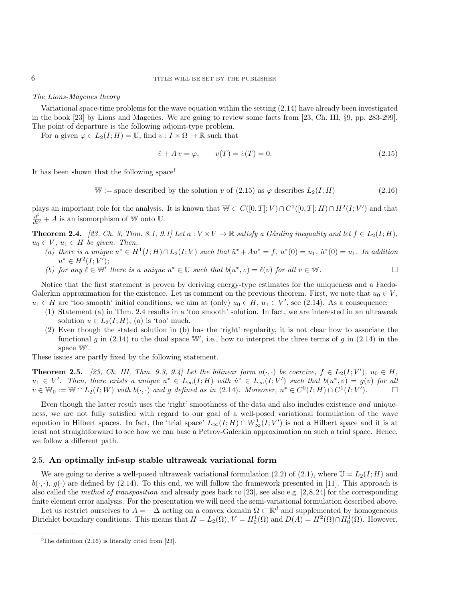#### The Lions-Magenes theory

Variational space-time problems for the wave equation within the setting [\(2.14\)](#page-4-3) have already been investigated in the book [\[23\]](#page-25-15) by Lions and Magenes. We are going to review some facts from [\[23,](#page-25-15) Ch. III, §9, pp. 283-299]. The point of departure is the following adjoint-type problem.

For a given  $\varphi \in L_2(I; H) = \mathbb{U}$ , find  $v: I \times \Omega \to \mathbb{R}$  such that

<span id="page-5-1"></span>
$$
\ddot{v} + A v = \varphi, \qquad v(T) = \dot{v}(T) = 0. \tag{2.15}
$$

It has been shown that the [f](#page-5-0)ollowing space<sup>t</sup>

<span id="page-5-3"></span>W := space described by the solution v of  $(2.15)$  as  $\varphi$  describes  $L_2(I; H)$  (2.16)

plays an important role for the analysis. It is known that  $\mathbb{W} \subset C([0,T];V) \cap C^1([0,T];H) \cap H^2(I;V')$  and that  $\frac{d^2}{dt^2} + A$  is an isomorphism of W onto U.

<span id="page-5-2"></span>**Theorem 2.4.** [\[23,](#page-25-15) Ch. 3, Thm. 8.1, 9.1] Let  $a: V \times V \to \mathbb{R}$  satisfy a Gårding inequality and let  $f \in L_2(I; H)$ ,  $u_0 \in V$ ,  $u_1 \in H$  be given. Then,

- (a) there is a unique  $u^* \in H^1(I; H) \cap L_2(I; V)$  such that  $\ddot{u}^* + Au^* = f$ ,  $u^*(0) = u_1$ ,  $\dot{u}^*(0) = u_1$ . In addition  $u^* \in H^2(I; V');$
- (b) for any  $\ell \in \mathbb{W}'$  there is a unique  $u^* \in \mathbb{U}$  such that  $b(u^*, v) = \ell(v)$  for all  $v \in \mathbb{W}$ .

Notice that the first statement is proven by deriving energy-type estimates for the uniqueness and a Faedo-Galerkin approximation for the existence. Let us comment on the previous theorem. First, we note that  $u_0 \in V$ ,  $u_1 \in H$  are 'too smooth' initial conditions, we aim at (only)  $u_0 \in H$ ,  $u_1 \in V'$ , see [\(2.14\)](#page-4-3). As a consequence:

- (1) Statement (a) in Thm. [2.4](#page-5-2) results in a 'too smooth' solution. In fact, we are interested in an ultraweak solution  $u \in L_2(I; H)$ , (a) is 'too' much.
- (2) Even though the stated solution in (b) has the 'right' regularity, it is not clear how to associate the functional g in [\(2.14\)](#page-4-3) to the dual space W', i.e., how to interpret the three terms of g in (2.14) in the space  $\mathbb{W}'$ .

These issues are partly fixed by the following statement.

**Theorem 2.5.** [\[23,](#page-25-15) Ch. III, Thm. 9.3, 9.4] Let the bilinear form  $a(\cdot, \cdot)$  be coercive,  $f \in L_2(I; V')$ ,  $u_0 \in H$ ,  $u_1 \in V'$ . Then, there exists a unique  $u^* \in L_\infty(I;H)$  with  $\dot{u}^* \in L_\infty(I;V')$  such that  $b(u^*,v) = g(v)$  for all  $v \in \mathbb{W}_0 := \mathbb{W} \cap L_2(I;W)$  with  $b(\cdot, \cdot)$  and g defined as in [\(2.14\)](#page-4-3). Moreover,  $u^* \in C^0(\overline{I};H) \cap C^1(\overline{I};V')$  $\Box$ 

Even though the latter result uses the 'right' smoothness of the data and also includes existence and uniqueness, we are not fully satisfied with regard to our goal of a well-posed variational formulation of the wave equation in Hilbert spaces. In fact, the 'trial space'  $L_{\infty}(I; H) \cap W_{\infty}^1(I; V')$  is not a Hilbert space and it is at least not straightforward to see how we can base a Petrov-Galerkin approximation on such a trial space. Hence, we follow a different path.

#### 2.5. An optimally inf-sup stable ultraweak variational form

We are going to derive a well-posed ultraweak variational formulation [\(2.2\)](#page-1-4) of [\(2.1\)](#page-1-3), where  $\mathbb{U} = L_2(I; H)$  and  $b(\cdot, \cdot)$ ,  $g(\cdot)$  are defined by [\(2.14\)](#page-4-3). To this end, we will follow the framework presented in [\[11\]](#page-24-2). This approach is also called the method of transposition and already goes back to [\[23\]](#page-25-15), see also e.g. [\[2,](#page-24-6)[8,](#page-24-7)[24\]](#page-25-16) for the corresponding finite element error analysis. For the presentation we will need the semi-variational formulation described above.

Let us restrict ourselves to  $A = -\Delta$  acting on a convex domain  $\Omega \subset \mathbb{R}^d$  and supplemented by homogeneous Dirichlet boundary conditions. This means that  $H = L_2(\Omega)$ ,  $V = H_0^1(\Omega)$  and  $D(A) = H^2(\Omega) \cap H_0^1(\Omega)$ . However,

<span id="page-5-0"></span> ${}^{\text{f}}$ The definition [\(2.16\)](#page-5-3) is literally cited from [\[23\]](#page-25-15).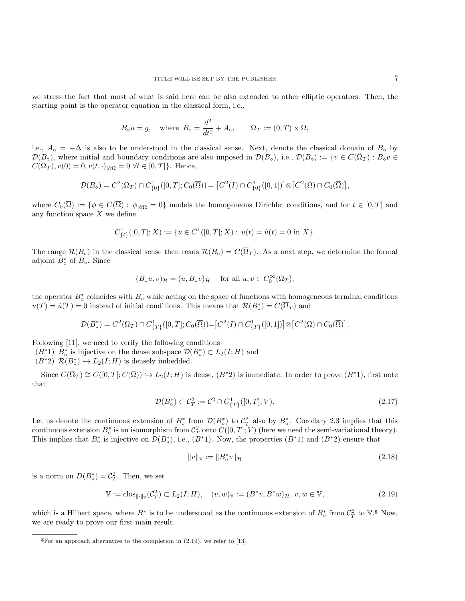we stress the fact that most of what is said here can be also extended to other elliptic operators. Then, the starting point is the operator equation in the classical form, i.e.,

$$
B_0 u = g
$$
, where  $B_0 = \frac{d^2}{dt^2} + A_0$ ,  $\Omega_T := (0, T) \times \Omega$ ,

i.e.,  $A_{\circ} = -\Delta$  is also to be understood in the classical sense. Next, denote the classical domain of  $B_{\circ}$  by  $\mathcal{D}(B_{\circ}),$  where initial and boundary conditions are also imposed in  $\mathcal{D}(B_{\circ}),$  i.e.,  $\mathcal{D}(B_{\circ}) := \{v \in C(\bar{\Omega}_T) : B_{\circ}v \in$  $C(\Omega_T)$ ,  $v(0) = 0$ ,  $v(t, \cdot)_{|\partial\Omega} = 0 \ \forall t \in [0, T]$ . Hence,

$$
\mathcal{D}(B_{\circ}) = C^{2}(\Omega_{T}) \cap C_{\{0\}}^{1}([0, T]; C_{0}(\overline{\Omega})) = [C^{2}(I) \cap C_{\{0\}}^{1}([0, 1])] \otimes [C^{2}(\Omega) \cap C_{0}(\overline{\Omega})],
$$

where  $C_0(\overline{\Omega}) := \{ \phi \in C(\overline{\Omega}) : \phi_{\partial \Omega} = 0 \}$  models the homogeneous Dirichlet conditions, and for  $t \in [0, T]$  and any function space  $X$  we define

$$
C^1_{\{t\}}([0,T];X) := \{ u \in C^1([0,T];X) : u(t) = \dot{u}(t) = 0 \text{ in } X \}.
$$

The range  $\mathcal{R}(B_{\circ})$  in the classical sense then reads  $\mathcal{R}(B_{\circ}) = C(\overline{\Omega}_T)$ . As a next step, we determine the formal adjoint  $B_{\circ}^*$  of  $B_{\circ}$ . Since

$$
(B_0u, v)_{\mathcal{H}} = (u, B_0v)_{\mathcal{H}}
$$
 for all  $u, v \in C_0^{\infty}(\Omega_T)$ ,

the operator  $B_{\circ}^*$  coincides with  $B_{\circ}$  while acting on the space of functions with homogeneous terminal conditions  $u(T) = \dot{u}(T) = 0$  instead of initial conditions. This means that  $\mathcal{R}(B_{\circ}^{*}) = C(\overline{\Omega}_{T})$  and

$$
\mathcal{D}(B_{\circ}^{*})=C^{2}(\Omega_{T})\cap C_{\{T\}}^{1}([0,T];C_{0}(\overline{\Omega}))=[C^{2}(I)\cap C_{\{T\}}^{1}([0,1])] \otimes [C^{2}(\Omega)\cap C_{0}(\overline{\Omega})].
$$

Following [\[11\]](#page-24-2), we need to verify the following conditions

- $(B^*1)$   $B_o^*$  is injective on the dense subspace  $\mathcal{D}(B_o^*) \subset L_2(I;H)$  and
- $(B^*2) \mathcal{R}(B^*_\circ) \hookrightarrow L_2(I;H)$  is densely imbedded.

Since  $C(\overline{\Omega}_T) \cong C([0,T]; C(\overline{\Omega})) \hookrightarrow L_2(I;H)$  is dense,  $(B^*2)$  is immediate. In order to prove  $(B^*1)$ , first note that

$$
\mathcal{D}(B_{\circ}^*) \subset \mathcal{C}_T^2 := \mathcal{C}^2 \cap C^1_{\{T\}}([0,T];V). \tag{2.17}
$$

Let us denote the continuous extension of  $B_o^*$  from  $\mathcal{D}(B_o^*)$  to  $\mathcal{C}_T^2$  also by  $B_o^*$ . Corollary [2.3](#page-3-5) implies that this continuous extension  $B_{\circ}^{*}$  is an isomorphism from  $\mathcal{C}_{T}^{2}$  onto  $C([0,T];V)$  (here we need the semi-variational theory). This implies that  $B_{\circ}^{*}$  is injective on  $\mathcal{D}(B_{\circ}^{*})$ , i.e.,  $(B^{*}1)$ . Now, the properties  $(B^{*}1)$  and  $(B^{*}2)$  ensure that

<span id="page-6-1"></span>
$$
||v||_{\mathbb{V}} := ||B_{\circ}^{*}v||_{\mathcal{H}}
$$
\n(2.18)

is a norm on  $D(B_{\circ}^{*}) = C_{T}^{2}$ . Then, we set

$$
\mathbb{V} := \text{clos}_{\|\cdot\|_{\mathbb{V}}}(\mathcal{C}_{T}^{2}) \subset L_{2}(I; H), \quad (v, w)_{\mathbb{V}} := (B^{*}v, B^{*}w)_{\mathcal{H}}, \ v, w \in \mathbb{V}, \tag{2.19}
$$

which is a Hilbert space, where  $B^*$  is to be understood as the continuous extension of  $B^*_\circ$  from  $C_T^2$  to  $V^{\text{g}}$  $V^{\text{g}}$  $V^{\text{g}}$ . Now, we are ready to prove our first main result.

<span id="page-6-0"></span> ${}^g$ For an approach alternative to the completion in [\(2.19\)](#page-6-1), we refer to [\[13\]](#page-25-9).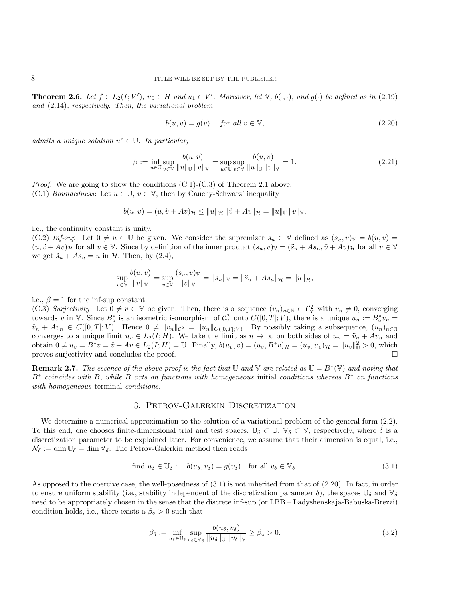**Theorem 2.6.** Let  $f \in L_2(I;V')$ ,  $u_0 \in H$  and  $u_1 \in V'$ . Moreover, let  $\mathbb{V}$ ,  $b(\cdot,\cdot)$ , and  $g(\cdot)$  be defined as in [\(2.19\)](#page-6-1) and [\(2.14\)](#page-4-3), respectively. Then, the variational problem

<span id="page-7-2"></span>
$$
b(u, v) = g(v) \quad \text{for all } v \in \mathbb{V}, \tag{2.20}
$$

admits a unique solution  $u^* \in \mathbb{U}$ . In particular,

$$
\beta := \inf_{u \in \mathbb{U}} \sup_{v \in \mathbb{V}} \frac{b(u, v)}{\|u\|_{\mathbb{U}} \|v\|_{\mathbb{V}}} = \sup_{u \in \mathbb{U}} \sup_{v \in \mathbb{V}} \frac{b(u, v)}{\|u\|_{\mathbb{U}} \|v\|_{\mathbb{V}}} = 1.
$$
\n(2.21)

*Proof.* We are going to show the conditions  $(C.1)-(C.3)$  of Theorem [2.1](#page-2-3) above. (C.1) Boundedness: Let  $u \in \mathbb{U}$ ,  $v \in \mathbb{V}$ , then by Cauchy-Schwarz' inequality

$$
b(u, v) = (u, \ddot{v} + Av)_{\mathcal{H}} \le ||u||_{\mathcal{H}} ||\ddot{v} + Av||_{\mathcal{H}} = ||u||_{\mathbb{U}} ||v||_{\mathbb{V}},
$$

i.e., the continuity constant is unity.

(C.2) Inf-sup: Let  $0 \neq u \in \mathbb{U}$  be given. We consider the supremizer  $s_u \in \mathbb{V}$  defined as  $(s_u, v)_{\mathbb{V}} = b(u, v)$  $(u, \ddot{v} + Av)_{\mathcal{H}}$  for all  $v \in \mathbb{V}$ . Since by definition of the inner product  $(s_u, v)_{\mathbb{V}} = (\ddot{s}_u + As_u, \ddot{v} + Av)_{\mathcal{H}}$  for all  $v \in \mathbb{V}$ we get  $\ddot{s}_u + As_u = u$  in  $\mathcal{H}$ . Then, by [\(2.4\)](#page-2-4),

$$
\sup_{v \in \mathbb{V}} \frac{b(u, v)}{\|v\|_{\mathbb{V}}} = \sup_{v \in \mathbb{V}} \frac{(s_u, v)_{\mathbb{V}}}{\|v\|_{\mathbb{V}}} = \|s_u\|_{\mathbb{V}} = \|\ddot{s}_u + As_u\|_{\mathcal{H}} = \|u\|_{\mathcal{H}},
$$

#### i.e.,  $\beta = 1$  for the inf-sup constant.

(C.3) Surjectivity: Let  $0 \neq v \in \mathbb{V}$  be given. Then, there is a sequence  $(v_n)_{n \in \mathbb{N}} \subset C^2$  with  $v_n \neq 0$ , converging towards v in V. Since  $B_o^*$  is an isometric isomorphism of  $C_T^2$  onto  $C([0,T];V)$ , there is a unique  $u_n := B_o^* v_n =$  $\ddot{v}_n + Av_n \in C([0,T]; V)$ . Hence  $0 \neq ||v_n||_{C^2} = ||u_n||_{C([0,T]; V)}$ . By possibly taking a subsequence,  $(u_n)_{n \in \mathbb{N}}$ converges to a unique limit  $u_v \in L_2(I; H)$ . We take the limit as  $n \to \infty$  on both sides of  $u_n = \ddot{v}_n + Av_n$  and obtain  $0 \neq u_v = B^*v = \ddot{v} + Av \in L_2(I; H) = \mathbb{U}$ . Finally,  $b(u_v, v) = (u_v, B^*v)_{\mathcal{H}} = (u_v, u_v)_{\mathcal{H}} = ||u_v||_{\mathbb{U}}^2 > 0$ , which proves surjectivity and concludes the proof.

**Remark 2.7.** The essence of the above proof is the fact that  $\mathbb{U}$  and  $\mathbb{V}$  are related as  $\mathbb{U} = B^*(\mathbb{V})$  and noting that B<sup>∗</sup> coincides with B, while B acts on functions with homogeneous initial conditions whereas B<sup>∗</sup> on functions with homogeneous terminal *conditions*.

## 3. Petrov-Galerkin Discretization

<span id="page-7-0"></span>We determine a numerical approximation to the solution of a variational problem of the general form  $(2.2)$ . To this end, one chooses finite-dimensional trial and test spaces,  $\mathbb{U}_{\delta} \subset \mathbb{U}$ ,  $\mathbb{V}_{\delta} \subset \mathbb{V}$ , respectively, where  $\delta$  is a discretization parameter to be explained later. For convenience, we assume that their dimension is equal, i.e.,  $\mathcal{N}_{\delta} := \dim \mathbb{U}_{\delta} = \dim \mathbb{V}_{\delta}$ . The Petrov-Galerkin method then reads

find 
$$
u_{\delta} \in \mathbb{U}_{\delta}
$$
:  $b(u_{\delta}, v_{\delta}) = g(v_{\delta})$  for all  $v_{\delta} \in \mathbb{V}_{\delta}$ . 
$$
(3.1)
$$

As opposed to the coercive case, the well-posedness of [\(3.1\)](#page-7-1) is not inherited from that of [\(2.20\)](#page-7-2). In fact, in order to ensure uniform stability (i.e., stability independent of the discretization parameter  $\delta$ ), the spaces  $\mathbb{U}_{\delta}$  and  $\mathbb{V}_{\delta}$ need to be appropriately chosen in the sense that the discrete inf-sup (or LBB – Ladyshenskaja-Babuška-Brezzi) condition holds, i.e., there exists a  $\beta_{\circ} > 0$  such that

<span id="page-7-3"></span><span id="page-7-1"></span>
$$
\beta_{\delta} := \inf_{u_{\delta} \in \mathbb{U}_{\delta}} \sup_{v_{\delta} \in \mathbb{V}_{\delta}} \frac{b(u_{\delta}, v_{\delta})}{\|u_{\delta}\|_{\mathbb{U}} \|v_{\delta}\|_{\mathbb{V}}} \ge \beta_{\circ} > 0,
$$
\n(3.2)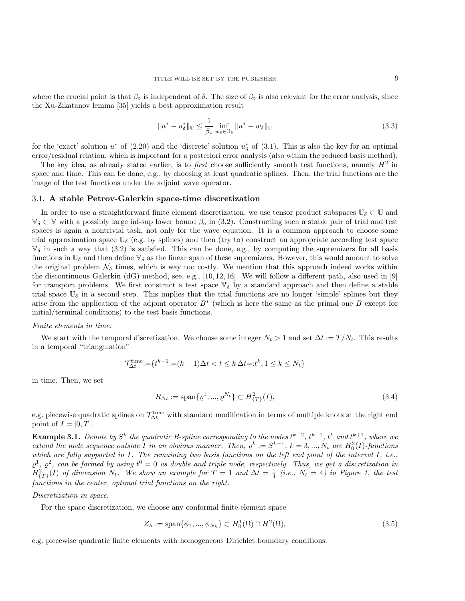where the crucial point is that  $\beta_{\rm o}$  is independent of  $\delta$ . The size of  $\beta_{\rm o}$  is also relevant for the error analysis, since the Xu-Zikatanov lemma [\[35\]](#page-25-14) yields a best approximation result

$$
||u^* - u^*_{\delta}||_{\mathbb{U}} \le \frac{1}{\beta_{\circ}} \inf_{w_{\delta} \in \mathbb{U}_{\delta}} ||u^* - w_{\delta}||_{\mathbb{U}}
$$
\n(3.3)

for the 'exact' solution  $u^*$  of [\(2.20\)](#page-7-2) and the 'discrete' solution  $u^*_{\delta}$  of [\(3.1\)](#page-7-1). This is also the key for an optimal error/residual relation, which is important for a posteriori error analysis (also within the reduced basis method).

The key idea, as already stated earlier, is to *first* choose sufficiently smooth test functions, namely  $H^2$  in space and time. This can be done, e.g., by choosing at least quadratic splines. Then, the trial functions are the image of the test functions under the adjoint wave operator.

#### 3.1. A stable Petrov-Galerkin space-time discretization

In order to use a straightforward finite element discretization, we use tensor product subspaces  $\mathbb{U}_{\delta} \subset \mathbb{U}$  and  $\mathbb{V}_{\delta} \subset \mathbb{V}$  with a possibly large inf-sup lower bound  $\beta_0$  in [\(3.2\)](#page-7-3). Constructing such a stable pair of trial and test spaces is again a nontrivial task, not only for the wave equation. It is a common approach to choose some trial approximation space  $\mathbb{U}_{\delta}$  (e.g. by splines) and then (try to) construct an appropriate according test space  $\mathbb{V}_{\delta}$  in such a way that [\(3.2\)](#page-7-3) is satisfied. This can be done, e.g., by computing the supremizers for all basis functions in  $\mathbb{U}_{\delta}$  and then define  $\mathbb{V}_{\delta}$  as the linear span of these supremizers. However, this would amount to solve the original problem  $\mathcal{N}_{\delta}$  times, which is way too costly. We mention that this approach indeed works within the discontinuous Galerkin (dG) method, see, e.g., [\[10,](#page-24-8) [12,](#page-24-9) [16\]](#page-25-6). We will follow a different path, also used in [\[9\]](#page-24-1) for transport problems. We first construct a test space  $\mathbb{V}_{\delta}$  by a standard approach and then define a stable trial space  $\mathbb{U}_{\delta}$  in a second step. This implies that the trial functions are no longer 'simple' splines but they arise from the application of the adjoint operator  $B^*$  (which is here the same as the primal one B except for initial/terminal conditions) to the test basis functions.

#### Finite elements in time.

We start with the temporal discretization. We choose some integer  $N_t > 1$  and set  $\Delta t := T/N_t$ . This results in a temporal "triangulation"

$$
\mathcal{T}^{\text{time}}_{\Delta t} := \{ t^{k-1} \text{:=} (k-1) \Delta t < t \leq k \, \Delta t =: t^k, 1 \leq k \leq N_t \}
$$

in time. Then, we set

$$
R_{\Delta t} := \text{span}\{ \varrho^1, ..., \varrho^{N_t} \} \subset H^2_{\{T\}}(I),\tag{3.4}
$$

e.g. piecewise quadratic splines on  $\mathcal{T}^{\text{time}}_{\Delta t}$  with standard modification in terms of multiple knots at the right end point of  $I=[0,T]$ .

<span id="page-8-0"></span>**Example 3.1.** Denote by  $S^k$  the quadratic B-spline corresponding to the nodes  $t^{k-2}$ ,  $t^{k-1}$ ,  $t^k$  and  $t^{k+1}$ , where we extend the node sequence outside  $\overline{I}$  in an obvious manner. Then,  $\varrho^k := S^{k-1}$ ,  $k = 3, ..., N_t$  are  $H_0^2(I)$ -functions which are fully supported in  $I$ . The remaining two basis functions on the left end point of the interval  $I$ , i.e.,  $\varrho^1$ ,  $\varrho^2$ , can be formed by using  $t^0 = 0$  as double and triple node, respectively. Thus, we get a discretization in  $H^2_{\{T\}}(I)$  of dimension  $N_t$ . We show an example for  $T=1$  and  $\Delta t=\frac{1}{4}$  (i.e.,  $N_t=4$ ) in Figure [1,](#page-9-0) the test functions in the center, optimal trial functions on the right.

#### Discretization in space.

For the space discretization, we choose any conformal finite element space

<span id="page-8-1"></span>
$$
Z_h := \text{span}\{\phi_1, ..., \phi_{N_h}\} \subset H_0^1(\Omega) \cap H^2(\Omega),\tag{3.5}
$$

e.g. piecewise quadratic finite elements with homogeneous Dirichlet boundary conditions.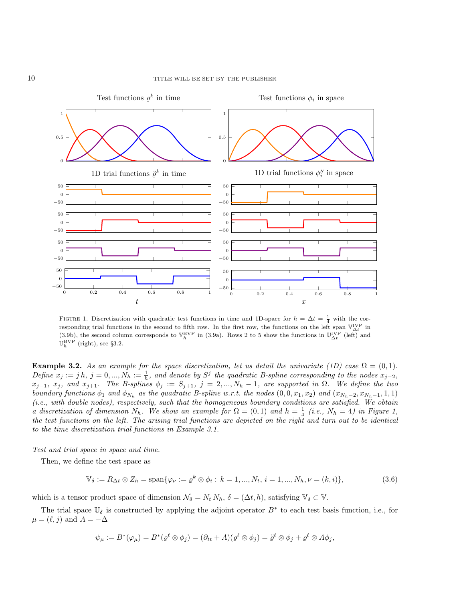<span id="page-9-0"></span>

FIGURE 1. Discretization with quadratic test functions in time and 1D-space for  $h = \Delta t = \frac{1}{4}$  with the corresponding trial functions in the second to fifth row. In the first row, the functions on the left span  $\mathbb{V}_{\Delta t}^{\text{IVP}}$  in [\(3.9b\)](#page-11-0), the second column corresponds to  $\mathbb{V}_h^{\rm BVP}$  in [\(3.9a\)](#page-11-1). Rows 2 to 5 show the functions in  $\mathbb{U}_{\Delta t}^{\rm IVP}$  (left) and  $\mathbb{U}_h^{\rm BVP}$  (right), see §[3.2.](#page-11-2)

Example 3.2. As an example for the space discretization, let us detail the univariate (1D) case  $\Omega = (0,1)$ . Define  $x_j := jh$ ,  $j = 0, ..., N_h := \frac{1}{h}$ , and denote by  $S^j$  the quadratic B-spline corresponding to the nodes  $x_{j-2}$ ,  $x_{j-1}, x_j, \text{ and } x_{j+1}.$  The B-splines  $\phi_j := S_{j+1}, j = 2, ..., N_h - 1$ , are supported in  $\Omega$ . We define the two boundary functions  $\phi_1$  and  $\phi_{N_h}$  as the quadratic B-spline w.r.t. the nodes  $(0,0,x_1,x_2)$  and  $(x_{N_h-2},x_{N_h-1},1,1)$ (i.e., with double nodes), respectively, such that the homogeneous boundary conditions are satisfied. We obtain a discretization of dimension  $N_h$ . We show an example for  $\Omega = (0,1)$  and  $h = \frac{1}{4}$  (i.e.,  $N_h = 4$ ) in Figure [1,](#page-9-0) the test functions on the left. The arising trial functions are depicted on the right and turn out to be identical to the time discretization trial functions in Example [3.1.](#page-8-0)

Test and trial space in space and time.

Then, we define the test space as

$$
\mathbb{V}_{\delta} := R_{\Delta t} \otimes Z_h = \text{span}\{\varphi_{\nu} := \varrho^k \otimes \phi_i : k = 1, ..., N_t, i = 1, ..., N_h, \nu = (k, i)\},\tag{3.6}
$$

which is a tensor product space of dimension  $\mathcal{N}_{\delta} = N_t N_h$ ,  $\delta = (\Delta t, h)$ , satisfying  $\mathbb{V}_{\delta} \subset \mathbb{V}$ .

The trial space  $\mathbb{U}_{\delta}$  is constructed by applying the adjoint operator  $B^*$  to each test basis function, i.e., for  $\mu = (\ell, j)$  and  $A = -\Delta$ 

<span id="page-9-1"></span>
$$
\psi_\mu := B^*(\varphi_\mu) = B^*(\varrho^\ell \otimes \phi_j) = (\partial_{tt} + A)(\varrho^\ell \otimes \phi_j) = \ddot{\varrho}^\ell \otimes \phi_j + \varrho^\ell \otimes A\phi_j,
$$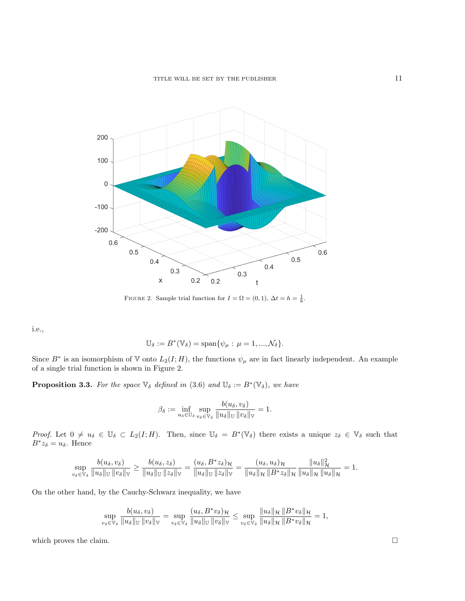<span id="page-10-0"></span>

FIGURE 2. Sample trial function for  $I = \Omega = (0, 1)$ ,  $\Delta t = h = \frac{1}{8}$ .

i.e.,

$$
\mathbb{U}_{\delta} := B^*(\mathbb{V}_{\delta}) = \text{span}\{\psi_{\mu} : \mu = 1, ..., \mathcal{N}_{\delta}\}.
$$

Since  $B^*$  is an isomorphism of V onto  $L_2(I; H)$ , the functions  $\psi_\mu$  are in fact linearly independent. An example of a single trial function is shown in Figure [2.](#page-10-0)

**Proposition 3.3.** For the space  $\mathbb{V}_{\delta}$  defined in [\(3.6\)](#page-9-1) and  $\mathbb{U}_{\delta} := B^*(\mathbb{V}_{\delta})$ , we have

$$
\beta_{\delta} := \inf_{u_{\delta} \in \mathbb{U}_{\delta}} \sup_{v_{\delta} \in \mathbb{V}_{\delta}} \frac{b(u_{\delta}, v_{\delta})}{\|u_{\delta}\|_{\mathbb{U}} \|v_{\delta}\|_{\mathbb{V}}} = 1.
$$

Proof. Let  $0 \neq u_{\delta} \in \mathbb{U}_{\delta} \subset L_2(I; H)$ . Then, since  $\mathbb{U}_{\delta} = B^*(\mathbb{V}_{\delta})$  there exists a unique  $z_{\delta} \in \mathbb{V}_{\delta}$  such that  $B^*z_\delta=u_\delta$ . Hence

$$
\sup_{v_{\delta}\in\mathbb{V}_{\delta}}\frac{b(u_{\delta},v_{\delta})}{\|u_{\delta}\|_{\mathbb{U}}\|v_{\delta}\|_{\mathbb{V}}} \geq \frac{b(u_{\delta},z_{\delta})}{\|u_{\delta}\|_{\mathbb{U}}\|z_{\delta}\|_{\mathbb{V}}} = \frac{(u_{\delta},B^*z_{\delta})_{\mathcal{H}}}{\|u_{\delta}\|_{\mathbb{U}}\|z_{\delta}\|_{\mathbb{V}}} = \frac{(u_{\delta},u_{\delta})_{\mathcal{H}}}{\|u_{\delta}\|_{\mathcal{H}}\|B^*z_{\delta}\|_{\mathcal{H}}}\frac{\|u_{\delta}\|_{\mathcal{H}}^2}{\|u_{\delta}\|_{\mathcal{H}}\|u_{\delta}\|_{\mathcal{H}}} = 1.
$$

On the other hand, by the Cauchy-Schwarz inequality, we have

$$
\sup_{v_{\delta}\in\mathbb{V}_{\delta}}\frac{b(u_{\delta},v_{\delta})}{\|u_{\delta}\|_{\mathbb{U}}\, \|v_{\delta}\|_{\mathbb{V}}}=\sup_{v_{\delta}\in\mathbb{V}_{\delta}}\frac{(u_{\delta},B^*v_{\delta})_{\mathcal{H}}}{\|u_{\delta}\|_{\mathbb{U}}\, \|v_{\delta}\|_{\mathbb{V}}}\leq \sup_{v_{\delta}\in\mathbb{V}_{\delta}}\frac{\|u_{\delta}\|_{\mathcal{H}}\, \|B^*v_{\delta}\|_{\mathcal{H}}}{\|u_{\delta}\|_{\mathcal{H}}\, \|B^*v_{\delta}\|_{\mathcal{H}}}=1,
$$

which proves the claim.  $\Box$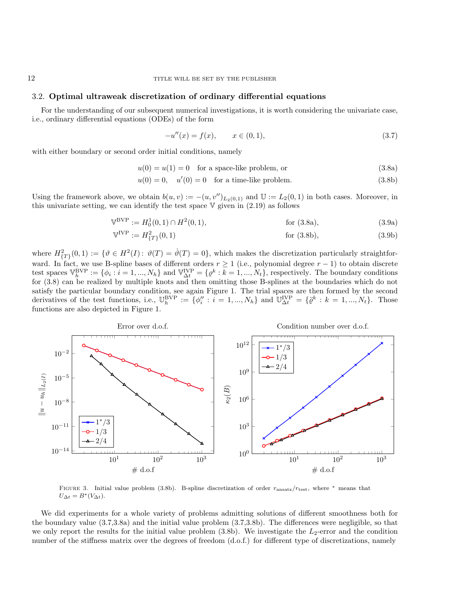## <span id="page-11-2"></span>3.2. Optimal ultraweak discretization of ordinary differential equations

For the understanding of our subsequent numerical investigations, it is worth considering the univariate case, i.e., ordinary differential equations (ODEs) of the form

<span id="page-11-6"></span><span id="page-11-5"></span><span id="page-11-4"></span><span id="page-11-3"></span><span id="page-11-1"></span><span id="page-11-0"></span>
$$
-u''(x) = f(x), \qquad x \in (0,1), \tag{3.7}
$$

with either boundary or second order initial conditions, namely

 $u(0) = u(1) = 0$  for a space-like problem, or (3.8a)

$$
u(0) = 0, \quad u'(0) = 0 \quad \text{for a time-like problem.} \tag{3.8b}
$$

Using the framework above, we obtain  $b(u, v) := -(u, v'')_{L_2(0,1)}$  and  $\mathbb{U} := L_2(0, 1)$  in both cases. Moreover, in this univariate setting, we can identify the test space  $V$  given in  $(2.19)$  as follows

$$
\mathbb{V}^{\text{BVP}} := H_0^1(0,1) \cap H^2(0,1), \qquad \text{for (3.8a)}, \tag{3.9a}
$$

$$
\mathbb{V}^{\text{IVP}} := H^2_{\{T\}}(0,1) \tag{3.9b}
$$
 for (3.8b), (3.9b)

where  $H^2_{\{T\}}(0,1) := \{ \vartheta \in H^2(I) : \vartheta(T) = \dot{\vartheta}(T) = 0 \},\$  which makes the discretization particularly straightforward. In fact, we use B-spline bases of different orders  $r \geq 1$  (i.e., polynomial degree  $r - 1$ ) to obtain discrete test spaces  $\mathbb{V}_h^{\text{BVP}} := \{ \phi_i : i = 1, ..., N_h \}$  and  $\mathbb{V}_{\Delta t}^{\text{IVP}} = \{ \varrho^k : k = 1, ..., N_t \}$ , respectively. The boundary conditions for [\(3.8\)](#page-11-5) can be realized by multiple knots and then omitting those B-splines at the boundaries which do not satisfy the particular boundary condition, see again Figure [1.](#page-9-0) The trial spaces are then formed by the second derivatives of the test functions, i.e.,  $\mathbb{U}_{h}^{\text{BVP}} := \{ \phi_i'' : i = 1, ..., N_h \}$  and  $\mathbb{U}_{\Delta t}^{\text{IVP}} = \{ \ddot{\varrho}^k : k = 1, ..., N_t \}$ . Those functions are also depicted in Figure [1.](#page-9-0)

<span id="page-11-7"></span>

Figure 3. Initial value problem [\(3.8b\)](#page-11-4). B-spline discretization of order ransatz/rtest, where <sup>∗</sup> means that  $U_{\Delta t} = B^*(V_{\Delta t}).$ 

We did experiments for a whole variety of problems admitting solutions of different smoothness both for the boundary value [\(3.7,](#page-11-6)[3.8a\)](#page-11-3) and the initial value problem [\(3.7,](#page-11-6)[3.8b\)](#page-11-4). The differences were negligible, so that we only report the results for the initial value problem  $(3.8b)$ . We investigate the  $L_2$ -error and the condition number of the stiffness matrix over the degrees of freedom (d.o.f.) for different type of discretizations, namely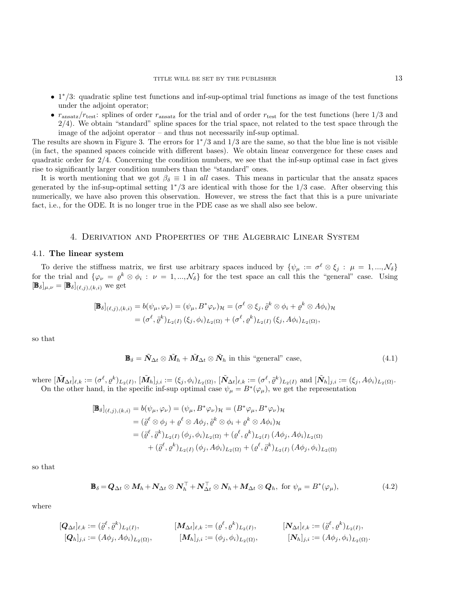- 1 <sup>∗</sup>/3: quadratic spline test functions and inf-sup-optimal trial functions as image of the test functions under the adjoint operator;
- $r_{\text{ansatz}}/r_{\text{test}}$ : splines of order  $r_{\text{ansatz}}$  for the trial and of order  $r_{\text{test}}$  for the test functions (here 1/3 and  $2/4$ ). We obtain "standard" spline spaces for the trial space, not related to the test space through the image of the adjoint operator – and thus not necessarily inf-sup optimal.

The results are shown in Figure [3.](#page-11-7) The errors for  $1*/3$  and  $1/3$  are the same, so that the blue line is not visible (in fact, the spanned spaces coincide with different bases). We obtain linear convergence for these cases and quadratic order for 2/4. Concerning the condition numbers, we see that the inf-sup optimal case in fact gives rise to significantly larger condition numbers than the "standard" ones.

It is worth mentioning that we got  $\beta_{\delta} \equiv 1$  in all cases. This means in particular that the ansatz spaces generated by the inf-sup-optimal setting 1∗/3 are identical with those for the 1/3 case. After observing this numerically, we have also proven this observation. However, we stress the fact that this is a pure univariate fact, i.e., for the ODE. It is no longer true in the PDE case as we shall also see below.

## 4. Derivation and Properties of the Algebraic Linear System

### <span id="page-12-3"></span><span id="page-12-0"></span>4.1. The linear system

To derive the stiffness matrix, we first use arbitrary spaces induced by  $\{\psi_\mu := \sigma^\ell \otimes \xi_j : \mu = 1, ..., \mathcal{N}_\delta\}$ for the trial and  $\{\varphi_{\nu} = \varrho^k \otimes \varphi_i : \nu = 1, ..., \mathcal{N}_{\delta}\}\$ for the test space an call this the "general" case. Using  $[\mathbf{\mathbb{B}}_{\delta}]_{\mu,\nu} = [\mathbf{\mathbb{B}}_{\delta}]_{(\ell,j),(k,i)}$  we get

$$
[\mathbf{B}_{\delta}](\ell,j),(\kappa,i) = b(\psi_{\mu}, \varphi_{\nu}) = (\psi_{\mu}, B^* \varphi_{\nu})_{\mathcal{H}} = (\sigma^{\ell} \otimes \xi_j, \ddot{\varrho}^k \otimes \phi_i + \varrho^k \otimes A\phi_i)_{\mathcal{H}}
$$
  
= 
$$
(\sigma^{\ell}, \ddot{\varrho}^k)_{L_2(I)} (\xi_j, \phi_i)_{L_2(\Omega)} + (\sigma^{\ell}, \varrho^k)_{L_2(I)} (\xi_j, A\phi_i)_{L_2(\Omega)},
$$

so that

<span id="page-12-2"></span><span id="page-12-1"></span>
$$
\mathbf{B}_{\delta} = \tilde{\mathbf{N}}_{\Delta t} \otimes \tilde{\mathbf{M}}_h + \tilde{\mathbf{M}}_{\Delta t} \otimes \tilde{\mathbf{N}}_h \text{ in this "general" case, } (4.1)
$$

where  $[\tilde{\mathbf{M}}_{\Delta t}]_{\ell,k} := (\sigma^{\ell}, \varrho^{k})_{L_2(I)}, [\tilde{\mathbf{M}}_h]_{j,i} := (\xi_j, \phi_i)_{L_2(\Omega)}, [\tilde{\mathbf{N}}_{\Delta t}]_{\ell,k} := (\sigma^{\ell}, \tilde{\varrho}^{k})_{L_2(I)}$  and  $[\tilde{\mathbf{N}}_h]_{j,i} := (\xi_j, A\phi_i)_{L_2(\Omega)}$ . On the other hand, in the specific inf-sup optimal case  $\psi_{\mu} = B^*(\varphi_{\mu})$ , we get the representation

$$
\begin{aligned} [\mathbf{B}_{\delta}]_{(\ell,j),(k,i)} &= b(\psi_{\mu},\varphi_{\nu}) = (\psi_{\mu},B^*\varphi_{\nu})_{\mathcal{H}} = (B^*\varphi_{\mu},B^*\varphi_{\nu})_{\mathcal{H}} \\ &= (\ddot{\varrho}^{\ell} \otimes \phi_j + \varrho^{\ell} \otimes A\phi_j, \ddot{\varrho}^k \otimes \phi_i + \varrho^k \otimes A\phi_i)_{\mathcal{H}} \\ &= (\ddot{\varrho}^{\ell},\ddot{\varrho}^k)_{L_2(I)} (\phi_j,\phi_i)_{L_2(\Omega)} + (\varrho^{\ell},\varrho^k)_{L_2(I)} (A\phi_j,A\phi_i)_{L_2(\Omega)} \\ &+ (\ddot{\varrho}^{\ell},\varrho^k)_{L_2(I)} (\phi_j,A\phi_i)_{L_2(\Omega)} + (\varrho^{\ell},\ddot{\varrho}^k)_{L_2(I)} (A\phi_j,\phi_i)_{L_2(\Omega)} \end{aligned}
$$

so that

$$
\mathbf{B}_{\delta} = \mathbf{Q}_{\Delta t} \otimes \mathbf{M}_{h} + \mathbf{N}_{\Delta t} \otimes \mathbf{N}_{h}^{\top} + \mathbf{N}_{\Delta t}^{\top} \otimes \mathbf{N}_{h} + \mathbf{M}_{\Delta t} \otimes \mathbf{Q}_{h}, \text{ for } \psi_{\mu} = B^{*}(\varphi_{\mu}), \tag{4.2}
$$

where

$$
[\mathbf{Q}_{\Delta t}]_{\ell,k} := (\ddot{\varrho}^{\ell}, \ddot{\varrho}^{k})_{L_2(I)}, \qquad [\mathbf{M}_{\Delta t}]_{\ell,k} := (\varrho^{\ell}, \varrho^{k})_{L_2(I)}, \qquad [\mathbf{N}_{\Delta t}]_{\ell,k} := (\ddot{\varrho}^{\ell}, \varrho^{k})_{L_2(I)}, [\mathbf{Q}_h]_{j,i} := (A\phi_j, A\phi_i)_{L_2(\Omega)}, \qquad [\mathbf{M}_h]_{j,i} := (\phi_j, \phi_i)_{L_2(\Omega)}, \qquad [\mathbf{N}_h]_{j,i} := (A\phi_j, \phi_i)_{L_2(\Omega)}.
$$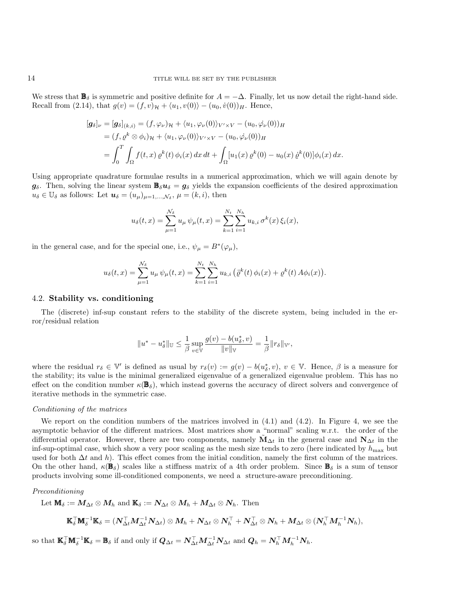We stress that  $\mathbf{B}_{\delta}$  is symmetric and positive definite for  $A = -\Delta$ . Finally, let us now detail the right-hand side. Recall from [\(2.14\)](#page-4-3), that  $g(v) = (f, v)_{\mathcal{H}} + \langle u_1, v(0) \rangle - (u_0, \dot{v}(0))_{H}$ . Hence,

$$
[g_{\delta}]_{\nu} = [g_{\delta}]_{(k,i)} = (f, \varphi_{\nu})_{\mathcal{H}} + \langle u_1, \varphi_{\nu}(0) \rangle_{V' \times V} - (u_0, \varphi_{\nu}(0))_{H}
$$
  
=  $(f, \varrho^{k} \otimes \varphi_{i})_{\mathcal{H}} + \langle u_1, \varphi_{\nu}(0) \rangle_{V' \times V} - (u_0, \varphi_{\nu}(0))_{H}$   
=  $\int_{0}^{T} \int_{\Omega} f(t, x) \varrho^{k}(t) \varphi_{i}(x) dx dt + \int_{\Omega} [u_1(x) \varrho^{k}(0) - u_0(x) \varrho^{k}(0)] \varphi_{i}(x) dx.$ 

Using appropriate quadrature formulae results in a numerical approximation, which we will again denote by  $g_\delta$ . Then, solving the linear system  $\mathbb{B}_\delta u_\delta = g_\delta$  yields the expansion coefficients of the desired approximation  $u_{\delta} \in \mathbb{U}_{\delta}$  as follows: Let  $\mathbf{u}_{\delta} = (u_{\mu})_{\mu=1,\dots,\mathcal{N}_{\delta}}, \mu = (k, i)$ , then

$$
u_{\delta}(t,x) = \sum_{\mu=1}^{\mathcal{N}_{\delta}} u_{\mu} \psi_{\mu}(t,x) = \sum_{k=1}^{N_t} \sum_{i=1}^{N_h} u_{k,i} \sigma^k(x) \xi_i(x),
$$

in the general case, and for the special one, i.e.,  $\psi_{\mu} = B^*(\varphi_{\mu}),$ 

$$
u_{\delta}(t,x) = \sum_{\mu=1}^{\mathcal{N}_{\delta}} u_{\mu} \psi_{\mu}(t,x) = \sum_{k=1}^{N_t} \sum_{i=1}^{N_h} u_{k,i} \left( \ddot{\varrho}^k(t) \phi_i(x) + \varrho^k(t) A \phi_i(x) \right).
$$

#### <span id="page-13-0"></span>4.2. Stability vs. conditioning

The (discrete) inf-sup constant refers to the stability of the discrete system, being included in the error/residual relation

$$
\|u^*-u^*_\delta\|_\mathbb{U}\leq \frac{1}{\beta}\sup_{v\in\mathbb{V}}\frac{g(v)-b(u^*_\delta,v)}{\|v\|_\mathbb{V}}=\frac{1}{\beta}\|r_\delta\|_{\mathbb{V}'},
$$

where the residual  $r_{\delta} \in V'$  is defined as usual by  $r_{\delta}(v) := g(v) - b(u_{\delta}^*, v), v \in V$ . Hence,  $\beta$  is a measure for the stability; its value is the minimal generalized eigenvalue of a generalized eigenvalue problem. This has no effect on the condition number  $\kappa(\mathbf{B}_{\delta})$ , which instead governs the accuracy of direct solvers and convergence of iterative methods in the symmetric case.

#### Conditioning of the matrices

We report on the condition numbers of the matrices involved in [\(4.1\)](#page-12-1) and [\(4.2\)](#page-12-2). In Figure [4,](#page-14-0) we see the asymptotic behavior of the different matrices. Most matrices show a "normal" scaling w.r.t. the order of the differential operator. However, there are two components, namely  $\mathbf{M}_{\Delta t}$  in the general case and  $\mathbf{N}_{\Delta t}$  in the inf-sup-optimal case, which show a very poor scaling as the mesh size tends to zero (here indicated by  $h_{\text{max}}$  but used for both  $\Delta t$  and h). This effect comes from the initial condition, namely the first column of the matrices. On the other hand,  $\kappa(\mathbf{B}_{\delta})$  scales like a stiffness matrix of a 4th order problem. Since  $\mathbf{B}_{\delta}$  is a sum of tensor products involving some ill-conditioned components, we need a structure-aware preconditioning.

#### Preconditioning

Let 
$$
\mathbf{M}_{\delta} := M_{\Delta t} \otimes M_h
$$
 and  $\mathbf{K}_{\delta} := N_{\Delta t} \otimes M_h + M_{\Delta t} \otimes N_h$ . Then

$$
\mathbb{K}_{\delta}^{\top} \mathbb{M}_{\delta}^{-1} \mathbb{K}_{\delta} = (N_{\Delta t}^{\top} M_{\Delta t}^{-1} N_{\Delta t}) \otimes M_h + N_{\Delta t} \otimes N_h^{\top} + N_{\Delta t}^{\top} \otimes N_h + M_{\Delta t} \otimes (N_h^{\top} M_h^{-1} N_h),
$$

so that  $\mathbb{K}_{\delta}^{\top} \mathbb{M}_{\delta}^{-1} \mathbb{K}_{\delta} = \mathbb{B}_{\delta}$  if and only if  $Q_{\Delta t} = N_{\Delta t}^{\top} M_{\Delta t}^{-1} N_{\Delta t}$  and  $Q_h = N_h^{\top} M_h^{-1} N_h$ .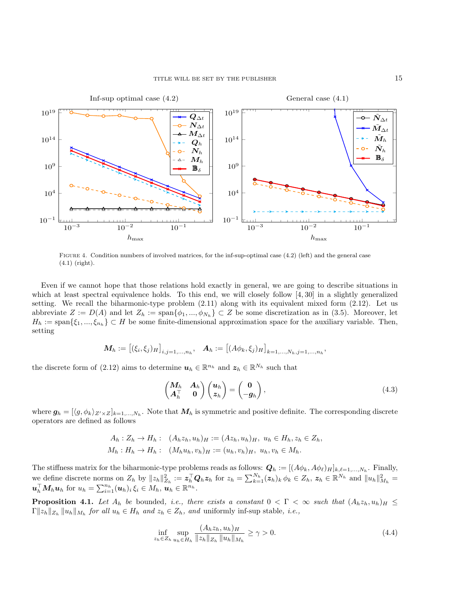<span id="page-14-0"></span>

FIGURE 4. Condition numbers of involved matrices, for the inf-sup-optimal case [\(4.2\)](#page-12-2) (left) and the general case [\(4.1\)](#page-12-1) (right).

Even if we cannot hope that those relations hold exactly in general, we are going to describe situations in which at least spectral equivalence holds. To this end, we will closely follow [\[4,](#page-24-10)30] in a slightly generalized setting. We recall the biharmonic-type problem [\(2.11\)](#page-4-1) along with its equivalent mixed form [\(2.12\)](#page-4-4). Let us abbreviate  $Z := D(A)$  and let  $Z_h := \text{span}\{\phi_1, ..., \phi_{N_h}\} \subset Z$  be some discretization as in [\(3.5\)](#page-8-1). Moreover, let  $H_h := \text{span}\{\xi_1, ..., \xi_{n_h}\} \subset H$  be some finite-dimensional approximation space for the auxiliary variable. Then, setting

$$
\mathbf{M}_{h} := [(\xi_i, \xi_j)_{H}]_{i,j=1,...,n_h}, \quad \mathbf{A}_{h} := [(\mathbf{A}\phi_k, \xi_j)_{H}]_{k=1,...,N_h,j=1,...,n_h},
$$

the discrete form of [\(2.12\)](#page-4-4) aims to determine  $u_h \in \mathbb{R}^{n_h}$  and  $z_h \in \mathbb{R}^{N_h}$  such that

$$
\begin{pmatrix} M_h & A_h \\ A_h^{\top} & 0 \end{pmatrix} \begin{pmatrix} u_h \\ z_h \end{pmatrix} = \begin{pmatrix} 0 \\ -g_h \end{pmatrix}, \tag{4.3}
$$

where  $g_h = [\langle g, \phi_k \rangle_{Z' \times Z}]_{k=1,\dots,N_h}$ . Note that  $M_h$  is symmetric and positive definite. The corresponding discrete operators are defined as follows

$$
A_h: Z_h \to H_h: (A_h z_h, u_h)_H := (A z_h, u_h)_H, u_h \in H_h, z_h \in Z_h,
$$
  

$$
M_h: H_h \to H_h: (M_h u_h, v_h)_H := (u_h, v_h)_H, u_h, v_h \in M_h.
$$

The stiffness matrix for the biharmonic-type problems reads as follows:  $\mathbf{Q}_h := [(A\phi_k, A\phi_\ell)_H]_{k,\ell=1,\ldots,N_h}$ . Finally, we define discrete norms on  $Z_h$  by  $||z_h||_{Z_h}^2 := \mathbf{z}_h^{\top} \mathbf{Q}_h \mathbf{z}_h$  for  $z_h = \sum_{k=1}^{N_h} (z_h)_k \phi_k \in Z_h$ ,  $\mathbf{z}_h \in \mathbb{R}^{N_h}$  and  $||u_h||_{M_h}^2 =$  $\mathbf{u}_h^{\top} \mathbf{M}_h \mathbf{u}_h$  for  $u_h = \sum_{i=1}^{n_h} (\mathbf{u}_h)_i \, \xi_i \in M_h$ ,  $\mathbf{u}_h \in \mathbb{R}^{n_h}$ .

<span id="page-14-2"></span>**Proposition 4.1.** Let  $A_h$  be bounded, i.e., there exists a constant  $0 < \Gamma < \infty$  such that  $(A_h z_h, u_h)_H \le$  $\Gamma ||z_h||_{Z_h} ||u_h||_{M_h}$  for all  $u_h \in H_h$  and  $z_h \in Z_h$ , and uniformly inf-sup stable, *i.e.*,

<span id="page-14-1"></span>
$$
\inf_{z_h \in Z_h} \sup_{u_h \in H_h} \frac{(A_h z_h, u_h)_H}{\|z_h\|_{Z_h} \|u_h\|_{M_h}} \ge \gamma > 0.
$$
\n(4.4)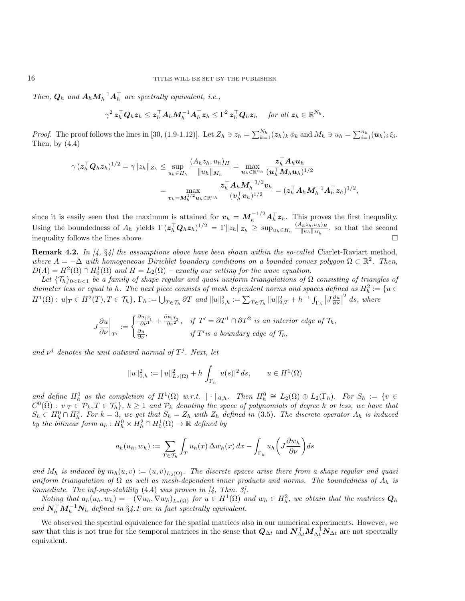Then,  $Q_h$  and  $A_h M_h^{-1} A_h^{\top}$  are spectrally equivalent, i.e.,

$$
\gamma^2 \, \mathbf{z}_h^\top \mathbf{Q}_h \mathbf{z}_h \leq \mathbf{z}_h^\top \mathbf{A}_h \mathbf{M}_h^{-1} \mathbf{A}_h^\top \mathbf{z}_h \leq \Gamma^2 \, \mathbf{z}_h^\top \mathbf{Q}_h \mathbf{z}_h \quad \text{ for all } \mathbf{z}_h \in \mathbb{R}^{N_h}.
$$

*Proof.* The proof follows the lines in [\[30,](#page-25-17) (1.9-1.12)]. Let  $Z_h \ni z_h = \sum_{k=1}^{N_h} (z_h)_k \phi_k$  and  $M_h \ni u_h = \sum_{i=1}^{n_h} (u_h)_i \xi_i$ . Then, by  $(4.4)$ 

$$
\gamma\left(\boldsymbol{z}_h^\top \boldsymbol{Q}_h \boldsymbol{z}_h\right)^{1/2} = \gamma \|z_h\|_{Z_h} \leq \sup_{u_h \in H_h} \frac{(A_h z_h, u_h)_H}{\|u_h\|_{M_h}} = \max_{\boldsymbol{u}_h \in \mathbb{R}^{n_h}} \frac{\boldsymbol{z}_h^\top \boldsymbol{A}_h \boldsymbol{u}_h}{(\boldsymbol{u}_h^\top \boldsymbol{M}_h \boldsymbol{u}_h)^{1/2}} \\ = \max_{\boldsymbol{v}_h = \boldsymbol{M}_h^{1/2} \boldsymbol{u}_h \in \mathbb{R}^{n_h}} \frac{\boldsymbol{z}_h^\top \boldsymbol{A}_h \boldsymbol{M}_h^{-1/2} \boldsymbol{v}_h}{(\boldsymbol{v}_h^\top \boldsymbol{v}_h)^{1/2}} = (\boldsymbol{z}_h^\top \boldsymbol{A}_h \boldsymbol{M}_h^{-1} \boldsymbol{A}_h^\top \boldsymbol{z}_h)^{1/2},
$$

since it is easily seen that the maximum is attained for  $v_h = M_h^{-1/2} A_h^{\top} z_h$ . This proves the first inequality. Using the boundedness of  $A_h$  yields  $\Gamma(z_h^\top Q_h z_h)^{1/2} = \Gamma \|z_h\|_{Z_h} \ge \sup_{u_h \in H_h} \frac{(A_h z_h, u_h)_H}{\|u_h\|_{M_h}}$  $\frac{\mathbf{u}_h z_h, u_h}{\|\mathbf{u}_h\|_{M_h}}$ , so that the second inequality follows the lines above.

**Remark 4.2.** In  $\begin{bmatrix} 4 \\ 5 \\ 4 \end{bmatrix}$  the assumptions above have been shown within the so-called Ciarlet-Raviart method, where  $A = -\Delta$  with homogeneous Dirichlet boundary conditions on a bounded convex polygon  $\Omega \subset \mathbb{R}^2$ . Then,  $D(A) = H^2(\Omega) \cap H_0^1(\Omega)$  and  $H = L_2(\Omega)$  – exactly our setting for the wave equation.

Let  $\{\mathcal{T}_h\}_{0\leq h\leq 1}$  be a family of shape regular and quasi uniform triangulations of  $\Omega$  consisting of triangles of diameter less or equal to h. The next piece consists of mesh dependent norms and spaces defined as  $H_h^2 := \{u \in$  $H^1(\Omega): u|_T \in H^2(T), T \in \mathcal{T}_h$ ,  $\Gamma_h := \bigcup_{T \in \mathcal{T}_h} \partial T$  and  $||u||_{2,h}^2 := \sum_{T \in \mathcal{T}_h} ||u||_{2,T}^2 + h^{-1} \int_{\Gamma_h} |J \frac{\partial u}{\partial \nu}|$  $^{2}$  ds, where

$$
J\frac{\partial u}{\partial \nu}\bigg|_{T'} := \begin{cases} \frac{\partial u_{|T_1}}{\partial \nu^1} + \frac{\partial u_{|T_2}}{\partial \nu^2}, & \text{if } T' = \partial T^1 \cap \partial T^2 \text{ is an interior edge of } \mathcal{T}_h, \\ \frac{\partial u}{\partial \nu}, & \text{if } T' \text{ is a boundary edge of } \mathcal{T}_h, \end{cases}
$$

and  $\nu^j$  denotes the unit outward normal of  $T^j$ . Next, let

$$
||u||_{0,h}^2 := ||u||_{L_2(\Omega)}^2 + h \int_{\Gamma_h} |u(s)|^2 ds, \qquad u \in H^1(\Omega)
$$

and define  $H_h^0$  as the completion of  $H^1(\Omega)$  w.r.t.  $\|\cdot\|_{0,h}$ . Then  $H_h^0 \cong L_2(\Omega) \oplus L_2(\Gamma_h)$ . For  $S_h := \{v \in$  $C^0(\bar{\Omega}): v|_{T} \in \mathcal{P}_k, T \in \mathcal{T}_h\}, k \geq 1$  and  $\mathcal{P}_k$  denoting the space of polynomials of degree k or less, we have that  $S_h \subset H_h^0 \cap H_h^2$ . For  $k=3$ , we get that  $S_h = Z_h$  with  $Z_h$  defined in [\(3.5\)](#page-8-1). The discrete operator  $A_h$  is induced by the bilinear form  $a_h : H_h^0 \times H_h^2 \cap H_0^1(\Omega) \to \mathbb{R}$  defined by

$$
a_h(u_h, w_h) := \sum_{T \in \mathcal{T}_h} \int_T u_h(x) \, \Delta w_h(x) \, dx - \int_{\Gamma_h} u_h\left(J\frac{\partial w_h}{\partial \nu}\right) ds
$$

and  $M_h$  is induced by  $m_h(u, v) := (u, v)_{L_2(\Omega)}$ . The discrete spaces arise there from a shape regular and quasi uniform triangulation of  $\Omega$  as well as mesh-dependent inner products and norms. The boundedness of  $A_h$  is immediate. The inf-sup-stability  $(4.4)$  was proven in  $\mathcal{A}$ , Thm. 3.

Noting that  $a_h(u_h, w_h) = -(\nabla u_h, \nabla w_h)_{L_2(\Omega)}$  for  $u \in H^1(\Omega)$  and  $w_h \in H^2_h$ , we obtain that the matrices  $Q_h$ and  $N_h^{\top} M_h^{-1} N_h$  defined in §[4.1](#page-12-3) are in fact spectrally equivalent.

We observed the spectral equivalence for the spatial matrices also in our numerical experiments. However, we saw that this is not true for the temporal matrices in the sense that  $Q_{\Delta t}$  and  $N_{\Delta t}^{\top}M_{\Delta t}^{-1}N_{\Delta t}$  are not spectrally equivalent.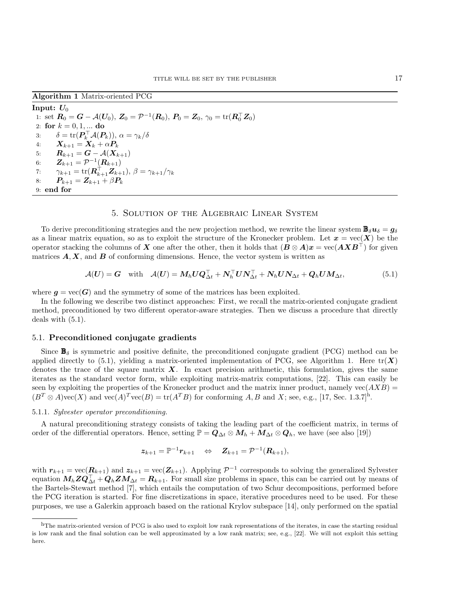<span id="page-16-2"></span>Algorithm 1 Matrix-oriented PCG

Input:  $U_0$ 1: set  $R_0 = G - A(U_0), Z_0 = \mathcal{P}^{-1}(R_0), P_0 = Z_0, \gamma_0 = \text{tr}(R_0^{\top} Z_0)$ 2: for  $k = 0, 1, ...$  do 3:  $\delta = \text{tr}(\boldsymbol{P}_k^{\top} \mathcal{A}(\boldsymbol{P}_k)), \ \alpha = \gamma_k / \delta$ 4:  $\bm{X}_{k+1} = \bm{X}_k + \alpha \bm{P}_k$ 5:  $R_{k+1} = G - A(X_{k+1})$ 6:  $\bm{Z}_{k+1} = \mathcal{P}^{-1}(\bm{R}_{k+1})$ 7:  $\gamma_{k+1} = \text{tr}(\mathbf{R}_{k+1}^{\top} \mathbf{Z}_{k+1}), \ \beta = \gamma_{k+1}/\gamma_k$ 8:  $P_{k+1} = Z_{k+1} + \beta P_k$ 9: end for

## 5. Solution of the Algebraic Linear System

<span id="page-16-0"></span>To derive preconditioning strategies and the new projection method, we rewrite the linear system  $\mathbb{B}_{\delta}u_{\delta}=g_{\delta}$ as a linear matrix equation, so as to exploit the structure of the Kronecker problem. Let  $x = \text{vec}(\mathbf{X})$  be the operator stacking the columns of X one after the other, then it holds that  $(B \otimes A)x = \text{vec}(A X B^{\top})$  for given matrices  $A, X$ , and  $B$  of conforming dimensions. Hence, the vector system is written as

<span id="page-16-1"></span>
$$
\mathcal{A}(\boldsymbol{U}) = \boldsymbol{G} \quad \text{with} \quad \mathcal{A}(\boldsymbol{U}) = \boldsymbol{M}_h \boldsymbol{U} \boldsymbol{Q}_{\Delta t}^\top + \boldsymbol{N}_h^\top \boldsymbol{U} \boldsymbol{N}_{\Delta t}^\top + \boldsymbol{N}_h \boldsymbol{U} \boldsymbol{N}_{\Delta t} + \boldsymbol{Q}_h \boldsymbol{U} \boldsymbol{M}_{\Delta t}, \tag{5.1}
$$

where  $q = \text{vec}(G)$  and the symmetry of some of the matrices has been exploited.

In the following we describe two distinct approaches: First, we recall the matrix-oriented conjugate gradient method, preconditioned by two different operator-aware strategies. Then we discuss a procedure that directly deals with [\(5.1\)](#page-16-1).

#### 5.1. Preconditioned conjugate gradients

Since  $\mathbf{B}_{\delta}$  is symmetric and positive definite, the preconditioned conjugate gradient (PCG) method can be applied directly to [\(5.1\)](#page-16-1), yielding a matrix-oriented implementation of PCG, see Algorithm [1.](#page-16-2) Here  $tr(X)$ denotes the trace of the square matrix  $\boldsymbol{X}$ . In exact precision arithmetic, this formulation, gives the same iterates as the standard vector form, while exploiting matrix-matrix computations, [\[22\]](#page-25-18). This can easily be seen by exploiting the properties of the Kronecker product and the matrix inner product, namely vec $(AXB)$  =  $(B^T \otimes A) \text{vec}(X)$  and  $\text{vec}(A)^T \text{vec}(B) = \text{tr}(A^T B)$  for conforming A, B and X; see, e.g., [\[17,](#page-25-19) Sec. 1.3.7]<sup>[h](#page-16-3)</sup>.

## <span id="page-16-4"></span>5.1.1. Sylvester operator preconditioning.

A natural preconditioning strategy consists of taking the leading part of the coefficient matrix, in terms of order of the differential operators. Hence, setting  $\mathbb{P} = Q_{\Delta t} \otimes M_h + M_{\Delta t} \otimes Q_h$ , we have (see also [\[19\]](#page-25-10))

$$
\boldsymbol{z}_{k+1} = \mathbb{P}^{-1} \boldsymbol{r}_{k+1} \quad \Leftrightarrow \quad \boldsymbol{Z}_{k+1} = \mathcal{P}^{-1}(\boldsymbol{R}_{k+1}),
$$

with  $r_{k+1} = \text{vec}(\mathbf{R}_{k+1})$  and  $z_{k+1} = \text{vec}(\mathbf{Z}_{k+1})$ . Applying  $\mathcal{P}^{-1}$  corresponds to solving the generalized Sylvester equation  $M_h Z Q_{\Delta t}^{\top} + Q_h Z M_{\Delta t} = R_{k+1}$ . For small size problems in space, this can be carried out by means of the Bartels-Stewart method [\[7\]](#page-24-11), which entails the computation of two Schur decompositions, performed before the PCG iteration is started. For fine discretizations in space, iterative procedures need to be used. For these purposes, we use a Galerkin approach based on the rational Krylov subspace [\[14\]](#page-25-20), only performed on the spatial

<span id="page-16-3"></span><sup>&</sup>lt;sup>h</sup>The matrix-oriented version of PCG is also used to exploit low rank representations of the iterates, in case the starting residual is low rank and the final solution can be well approximated by a low rank matrix; see, e.g., [\[22\]](#page-25-18). We will not exploit this setting here.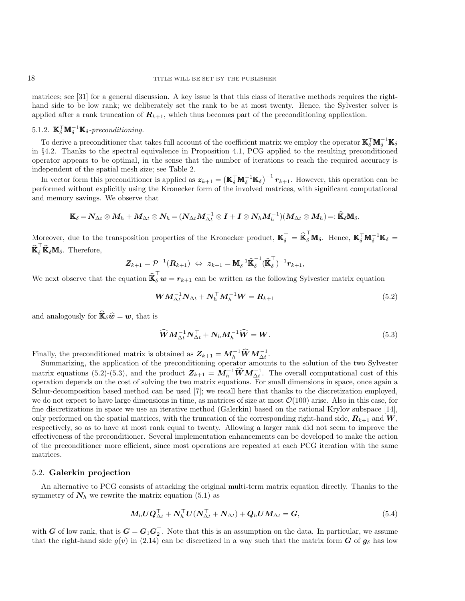matrices; see [\[31\]](#page-25-21) for a general discussion. A key issue is that this class of iterative methods requires the righthand side to be low rank; we deliberately set the rank to be at most twenty. Hence, the Sylvester solver is applied after a rank truncation of  $R_{k+1}$ , which thus becomes part of the preconditioning application.

# <span id="page-17-3"></span>5.1.2.  $\mathbb{K}_{\delta}^{\top} \mathbb{M}_{\delta}^{-1} \mathbb{K}_{\delta}$ -preconditioning.

To derive a preconditioner that takes full account of the coefficient matrix we employ the operator  $\mathbb{K}_{\delta}^{\top} \mathbb{M}_{\delta}^{-1} \mathbb{K}_{\delta}$ in §[4.2.](#page-13-0) Thanks to the spectral equivalence in Proposition [4.1,](#page-14-2) PCG applied to the resulting preconditioned operator appears to be optimal, in the sense that the number of iterations to reach the required accuracy is independent of the spatial mesh size; see Table [2.](#page-20-1)

In vector form this preconditioner is applied as  $z_{k+1} = (\mathbf{K}_{\delta}^{\top} \mathbf{M}_{\delta}^{-1} \mathbf{K}_{\delta})^{-1} r_{k+1}$ . However, this operation can be performed without explicitly using the Kronecker form of the involved matrices, with significant computational and memory savings. We observe that

$$
\mathbb{K}_{\delta}=N_{\Delta t}\otimes M_{h}+M_{\Delta t}\otimes N_{h}=(N_{\Delta t}M_{\Delta t}^{-1}\otimes I+I\otimes N_{h}M_{h}^{-1})(M_{\Delta t}\otimes M_{h})=:\widehat{\mathbb{K}}_{\delta}\mathbb{M}_{\delta}.
$$

Moreover, due to the transposition properties of the Kronecker product,  $\mathbf{K}_{\delta}^{\top} = \widehat{\mathbf{K}}_{\delta}^{\top} \mathbf{M}_{\delta}$ . Hence,  $\mathbf{K}_{\delta}^{\top} \mathbf{M}_{\delta}^{-1} \mathbf{K}_{\delta} =$  $\widehat{\mathbf{K}}_{\delta}^{\top} \widehat{\mathbf{K}}_{\delta} \mathbf{M}_{\delta}$ . Therefore,

$$
\boldsymbol{Z}_{k+1} = \mathcal{P}^{-1}(\boldsymbol{R}_{k+1}) \; \Leftrightarrow \; \boldsymbol{z}_{k+1} = \boldsymbol{\rm M}_{\delta}^{-1} \widehat{\boldsymbol{\rm K}}_{\delta}^{-1} (\widehat{\boldsymbol{\rm K}}_{\delta}^{\top})^{-1} \boldsymbol{r}_{k+1},
$$

We next observe that the equation  $\widehat{\mathbf{K}}_{\delta}^{\top} \mathbf{w} = \mathbf{r}_{k+1}$  can be written as the following Sylvester matrix equation

<span id="page-17-0"></span>
$$
\boldsymbol{W}\boldsymbol{M}_{\Delta t}^{-1}\boldsymbol{N}_{\Delta t} + \boldsymbol{N}_h^\top \boldsymbol{M}_h^{-1}\boldsymbol{W} = \boldsymbol{R}_{k+1}
$$
\n(5.2)

and analogously for  $\widehat{\mathbb{R}}_{\delta}\widehat{w} = w$ , that is

<span id="page-17-1"></span>
$$
\widehat{W} M_{\Delta t}^{-1} N_{\Delta t}^{\top} + N_h M_h^{-1} \widehat{W} = W.
$$
\n(5.3)

Finally, the preconditioned matrix is obtained as  $Z_{k+1} = M_h^{-1} \widehat{W} M_{\Delta t}^{-1}$ .

Summarizing, the application of the preconditioning operator amounts to the solution of the two Sylvester matrix equations [\(5.2\)](#page-17-0)-[\(5.3\)](#page-17-1), and the product  $Z_{k+1} = M_h^{-1} \widehat{W} M_{\Delta_h^{\dagger}}^{-1}$ . The overall computational cost of this operation depends on the cost of solving the two matrix equations. For small dimensions in space, once again a Schur-decomposition based method can be used [\[7\]](#page-24-11); we recall here that thanks to the discretization employed, we do not expect to have large dimensions in time, as matrices of size at most  $\mathcal{O}(100)$  arise. Also in this case, for fine discretizations in space we use an iterative method (Galerkin) based on the rational Krylov subspace [\[14\]](#page-25-20), only performed on the spatial matrices, with the truncation of the corresponding right-hand side,  $\mathbf{R}_{k+1}$  and  $\mathbf{W}$ , respectively, so as to have at most rank equal to twenty. Allowing a larger rank did not seem to improve the effectiveness of the preconditioner. Several implementation enhancements can be developed to make the action of the preconditioner more efficient, since most operations are repeated at each PCG iteration with the same matrices.

#### 5.2. Galerkin projection

An alternative to PCG consists of attacking the original multi-term matrix equation directly. Thanks to the symmetry of  $N_h$  we rewrite the matrix equation [\(5.1\)](#page-16-1) as

<span id="page-17-2"></span>
$$
M_h U Q_{\Delta t}^\top + N_h^\top U (N_{\Delta t}^\top + N_{\Delta t}) + Q_h U M_{\Delta t} = G, \qquad (5.4)
$$

with G of low rank, that is  $G = G_1 G_2^T$ . Note that this is an assumption on the data. In particular, we assume that the right-hand side  $g(v)$  in [\(2.14\)](#page-4-3) can be discretized in a way such that the matrix form G of  $g_\delta$  has low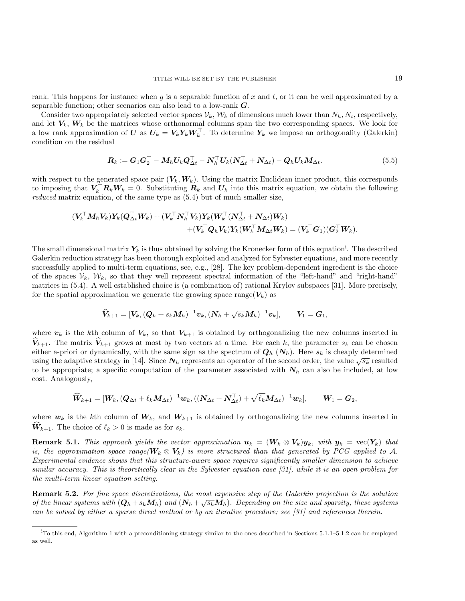rank. This happens for instance when  $g$  is a separable function of  $x$  and  $t$ , or it can be well approximated by a separable function; other scenarios can also lead to a low-rank G.

Consider two appropriately selected vector spaces  $\mathcal{V}_k$ ,  $\mathcal{W}_k$  of dimensions much lower than  $N_h$ ,  $N_t$ , respectively, and let  $V_k$ ,  $W_k$  be the matrices whose orthonormal columns span the two corresponding spaces. We look for a low rank approximation of  $\boldsymbol{U}$  as  $\boldsymbol{U}_k = \boldsymbol{V}_k \boldsymbol{Y}_k \boldsymbol{W}_k^{\top}$ . To determine  $\boldsymbol{Y}_k$  we impose an orthogonality (Galerkin) condition on the residual

<span id="page-18-1"></span>
$$
\boldsymbol{R}_k := \boldsymbol{G}_1 \boldsymbol{G}_2^\top - \boldsymbol{M}_h \boldsymbol{U}_k \boldsymbol{Q}_{\Delta t}^\top - \boldsymbol{N}_h^\top \boldsymbol{U}_k (\boldsymbol{N}_{\Delta t}^\top + \boldsymbol{N}_{\Delta t}) - \boldsymbol{Q}_h \boldsymbol{U}_k \boldsymbol{M}_{\Delta t}.
$$
\n(5.5)

with respect to the generated space pair  $(V_k, W_k)$ . Using the matrix Euclidean inner product, this corresponds to imposing that  $V_k^{\top} R_k W_k = 0$ . Substituting  $R_k$  and  $U_k$  into this matrix equation, we obtain the following reduced matrix equation, of the same type as [\(5.4\)](#page-17-2) but of much smaller size,

$$
\begin{aligned} (\boldsymbol{V}_k^\top \boldsymbol{M}_h \boldsymbol{V}_k) \boldsymbol{Y}_k (\boldsymbol{Q}_{\Delta t}^\top \boldsymbol{W}_k) + (\boldsymbol{V}_k^\top \boldsymbol{N}_h^\top \boldsymbol{V}_k) \boldsymbol{Y}_k (\boldsymbol{W}_k^\top (\boldsymbol{N}_{\Delta t}^\top + \boldsymbol{N}_{\Delta t}) \boldsymbol{W}_k) \\ + (\boldsymbol{V}_k^\top \boldsymbol{Q}_h \boldsymbol{V}_k) \boldsymbol{Y}_k (\boldsymbol{W}_k^\top \boldsymbol{M}_{\Delta t} \boldsymbol{W}_k) = (\boldsymbol{V}_k^\top \boldsymbol{G}_1) (\boldsymbol{G}_2^\top \boldsymbol{W}_k). \end{aligned}
$$

The small d[i](#page-18-0)mensional matrix  $Y_k$  is thus obtained by solving the Kronecker form of this equation<sup>i</sup>. The described Galerkin reduction strategy has been thorough exploited and analyzed for Sylvester equations, and more recently successfully applied to multi-term equations, see, e.g., [\[28\]](#page-25-22). The key problem-dependent ingredient is the choice of the spaces  $V_k$ ,  $W_k$ , so that they well represent spectral information of the "left-hand" and "right-hand" matrices in [\(5.4\)](#page-17-2). A well established choice is (a combination of) rational Krylov subspaces [\[31\]](#page-25-21). More precisely, for the spatial approximation we generate the growing space range( $V_k$ ) as

$$
\widehat{\pmb{V}}_{k+1} = [\pmb{V}_k, (\pmb{Q}_h + s_k \pmb{M}_h)^{-1} \pmb{v}_k, (\pmb{N}_h + \sqrt{s_k} \pmb{M}_h)^{-1} \pmb{v}_k], \qquad \pmb{V}_1 = \pmb{G}_1,
$$

where  $v_k$  is the kth column of  $V_k$ , so that  $V_{k+1}$  is obtained by orthogonalizing the new columns inserted in  $\widehat{V}_{k+1}$ . The matrix  $\widehat{V}_{k+1}$  grows at most by two vectors at a time. For each k, the parameter  $s_k$  can be chosen either a-priori or dynamically, with the same sign as the spectrum of  $Q_h$  ( $N_h$ ). Here  $s_k$  is cheaply determined using the adaptive strategy in [\[14\]](#page-25-20). Since  $N_h$  represents an operator of the second order, the value  $\sqrt{s_k}$  resulted using the adaptive strategy in [14]. Since  $N_h$  represents an operator of the second order, the value to be appropriate; a specific computation of the parameter associated with  $N_h$  can also be included, at low cost. Analogously,

$$
\widehat{\boldsymbol{W}}_{k+1}=[\boldsymbol{W}_k, (\boldsymbol{Q}_{\Delta t}+\ell_k \boldsymbol{M}_{\Delta t})^{-1}\boldsymbol{w}_k, ((\boldsymbol{N}_{\Delta t}+\boldsymbol{N}_{\Delta t}^\top) + \sqrt{\ell_k}\boldsymbol{M}_{\Delta t})^{-1}\boldsymbol{w}_k], \qquad \boldsymbol{W}_1=\boldsymbol{G}_2,
$$

where  $w_k$  is the kth column of  $W_k$ , and  $W_{k+1}$  is obtained by orthogonalizing the new columns inserted in  $W_{k+1}$ . The choice of  $\ell_k > 0$  is made as for  $s_k$ .

**Remark 5.1.** This approach yields the vector approximation  $u_k = (W_k \otimes V_k)y_k$ , with  $y_k = \text{vec}(Y_k)$  that is, the approximation space range( $W_k \otimes V_k$ ) is more structured than that generated by PCG applied to A. Experimental evidence shows that this structure-aware space requires significantly smaller dimension to achieve similar accuracy. This is theoretically clear in the Sylvester equation case [\[31\]](#page-25-21), while it is an open problem for the multi-term linear equation setting.

<span id="page-18-2"></span>**Remark 5.2.** For fine space discretizations, the most expensive step of the Galerkin projection is the solution of the linear systems with  $(Q_h + s_k M_h)$  and  $(N_h + \sqrt{s_k} M_h)$ . Depending on the size and sparsity, these systems can be solved by either a sparse direct method or by an iterative procedure; see [\[31\]](#page-25-21) and references therein.

<span id="page-18-0"></span> $i<sup>T</sup>$  this end, Algorithm [1](#page-16-2) with a preconditioning strategy similar to the ones described in Sections [5.1.1](#page-16-4)[–5.1.2](#page-17-3) can be employed as well.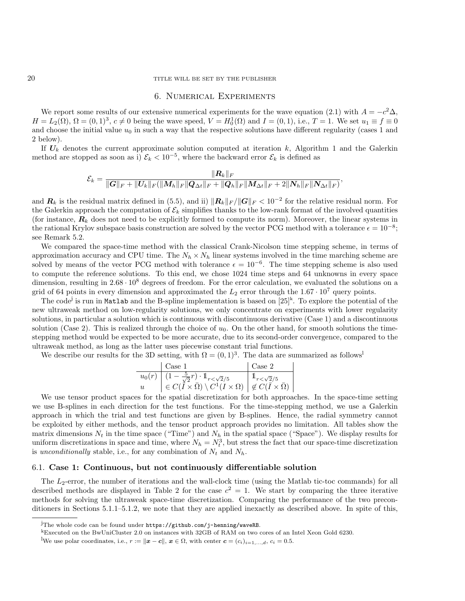## <span id="page-19-0"></span>20 TITLE WILL BE SET BY THE PUBLISHER

## 6. Numerical Experiments

We report some results of our extensive numerical experiments for the wave equation [\(2.1\)](#page-1-3) with  $A = -c^2 \Delta$ ,  $H = L_2(\Omega)$ ,  $\Omega = (0, 1)^3$ ,  $c \neq 0$  being the wave speed,  $V = H_0^1(\Omega)$  and  $I = (0, 1)$ , i.e.,  $T = 1$ . We set  $u_1 \equiv f \equiv 0$ and choose the initial value  $u_0$  in such a way that the respective solutions have different regularity (cases 1 and 2 below).

If  $U_k$  denotes the current approximate solution computed at iteration k, Algorithm [1](#page-16-2) and the Galerkin method are stopped as soon as i)  $\mathcal{E}_k < 10^{-5}$ , where the backward error  $\mathcal{E}_k$  is defined as

$$
\mathcal{E}_k = \frac{\|{\bm{R}}_k\|_F}{\|{\bm{G}}\|_F + \|{\bm{U}}_k\|_F (\|{\bm{M}}_h\|_F\|{\bm{Q}}_{\Delta t}\|_F + \|{\bm{Q}}_h\|_F\|{\bm{M}}_{\Delta t}\|_F + 2\|{\bm{N}}_h\|_F\|{\bm{N}}_{\Delta t}\|_F)},
$$

and  $R_k$  is the residual matrix defined in [\(5.5\)](#page-18-1), and ii)  $||R_k||_F / ||G||_F < 10^{-2}$  for the relative residual norm. For the Galerkin approach the computation of  $\mathcal{E}_k$  simplifies thanks to the low-rank format of the involved quantities (for instance,  $R_k$  does not need to be explicitly formed to compute its norm). Moreover, the linear systems in the rational Krylov subspace basis construction are solved by the vector PCG method with a tolerance  $\epsilon = 10^{-8}$ ; see Remark [5.2.](#page-18-2)

We compared the space-time method with the classical Crank-Nicolson time stepping scheme, in terms of approximation accuracy and CPU time. The  $N_h \times N_h$  linear systems involved in the time marching scheme are solved by means of the vector PCG method with tolerance  $\epsilon = 10^{-6}$ . The time stepping scheme is also used to compute the reference solutions. To this end, we chose 1024 time steps and 64 unknowns in every space dimension, resulting in  $2.68 \cdot 10^8$  degrees of freedom. For the error calculation, we evaluated the solutions on a grid of 64 points in every dimension and approximated the  $L_2$  error through the 1.67 · 10<sup>7</sup> query points.

The code<sup>[j](#page-19-1)</sup> is run in Matlab and the B-spline implementation is based on  $[25]^k$  $[25]^k$ . To explore the potential of the new ultraweak method on low-regularity solutions, we only concentrate on experiments with lower regularity solutions, in particular a solution which is continuous with discontinuous derivative (Case 1) and a discontinuous solution (Case 2). This is realized through the choice of  $u_0$ . On the other hand, for smooth solutions the timestepping method would be expected to be more accurate, due to its second-order convergence, compared to the ultraweak method, as long as the latter uses piecewise constant trial functions.

We describe our results for the 3D setting, with  $\Omega = (0,1)^3$ . The data are summarized as follows<sup>1</sup>

|                  | Case 1                                                                                                                  | Case 2                      |
|------------------|-------------------------------------------------------------------------------------------------------------------------|-----------------------------|
| $u_0(r)$         | $(1-\frac{5}{\sqrt{2}}r)\cdot 1\!\!1_{r<\sqrt{2}/5}$                                                                    | $\mathbb{1}_{r<\sqrt{2}/5}$ |
| $\boldsymbol{u}$ | $ \in C(\overline{I}\times\overline{\Omega})\setminus C^1(I\times\Omega) \notin C(\overline{I}\times\overline{\Omega})$ |                             |

We use tensor product spaces for the spatial discretization for both approaches. In the space-time setting we use B-splines in each direction for the test functions. For the time-stepping method, we use a Galerkin approach in which the trial and test functions are given by B-splines. Hence, the radial symmetry cannot be exploited by either methods, and the tensor product approach provides no limitation. All tables show the matrix dimensions  $N_t$  in the time space ("Time") and  $N_h$  in the spatial space ("Space"). We display results for uniform discretizations in space and time, where  $N_h = N_t^3$ , but stress the fact that our space-time discretization is unconditionally stable, i.e., for any combination of  $N_t$  and  $N_h$ .

#### 6.1. Case 1: Continuous, but not continuously differentiable solution

The  $L_2$ -error, the number of iterations and the wall-clock time (using the Matlab tic-toc commands) for all described methods are displayed in Table [2](#page-20-1) for the case  $c^2 = 1$ . We start by comparing the three iterative methods for solving the ultraweak space-time discretization. Comparing the performance of the two preconditioners in Sections [5.1.1](#page-16-4)[–5.1.2,](#page-17-3) we note that they are applied inexactly as described above. In spite of this,

<span id="page-19-1"></span> $j$ The whole code can be found under <https://github.com/j-henning/waveRB>.

<span id="page-19-2"></span><sup>k</sup>Executed on the BwUniCluster 2.0 on instances with 32GB of RAM on two cores of an Intel Xeon Gold 6230.

We use polar coordinates, i.e.,  $r := ||\mathbf{x} - \mathbf{c}||$ ,  $\mathbf{x} \in \Omega$ , with center  $\mathbf{c} = (c_i)_{i=1,\dots,d}$ ,  $c_i = 0.5$ .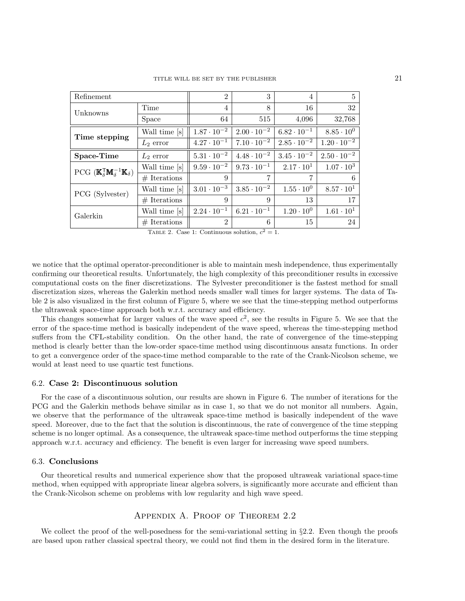<span id="page-20-1"></span>

| Refinement                                                                          | $\overline{2}$ | 3                    | $\overline{4}$       | 5                    |                      |
|-------------------------------------------------------------------------------------|----------------|----------------------|----------------------|----------------------|----------------------|
| Unknowns                                                                            | Time           | $\overline{4}$       | 8                    | 16                   | 32                   |
|                                                                                     | Space          | 64                   | 515                  | 4,096                | 32,768               |
| Time stepping                                                                       | Wall time [s]  | $1.87 \cdot 10^{-2}$ | $2.00 \cdot 10^{-2}$ | $6.82 \cdot 10^{-1}$ | $8.85 \cdot 10^{0}$  |
|                                                                                     | $L_2$ error    | $4.27 \cdot 10^{-1}$ | $7.10 \cdot 10^{-2}$ | $2.85 \cdot 10^{-2}$ | $1.20 \cdot 10^{-2}$ |
| Space-Time                                                                          | $L_2$ error    | $5.31\cdot10^{-2}$   | $4.48 \cdot 10^{-2}$ | $3.45 \cdot 10^{-2}$ | $2.50 \cdot 10^{-2}$ |
| PCG $(\mathbb{K}_{\delta}^{\mathsf{T}}\mathbb{M}_{\delta}^{-1}\mathbb{K}_{\delta})$ | Wall time [s]  | $9.59 \cdot 10^{-2}$ | $9.73 \cdot 10^{-1}$ | $2.17 \cdot 10^{1}$  | $1.07 \cdot 10^3$    |
|                                                                                     | $#$ Iterations | 9                    | 7                    | 7                    | 6                    |
| PCG (Sylvester)                                                                     | Wall time [s]  | $3.01 \cdot 10^{-3}$ | $3.85 \cdot 10^{-2}$ | $1.55 \cdot 10^{0}$  | $8.57 \cdot 10^{1}$  |
|                                                                                     | $#$ Iterations | 9                    | 9                    | 13                   | 17                   |
| Galerkin                                                                            | Wall time [s]  | $2.24 \cdot 10^{-1}$ | $6.21 \cdot 10^{-1}$ | $1.20 \cdot 10^{0}$  | $1.61 \cdot 10^{1}$  |
|                                                                                     | $#$ Iterations | $\overline{2}$       | 6                    | 15                   | 24                   |

TABLE 2. Case 1: Continuous solution,  $c^2 = 1$ .

we notice that the optimal operator-preconditioner is able to maintain mesh independence, thus experimentally confirming our theoretical results. Unfortunately, the high complexity of this preconditioner results in excessive computational costs on the finer discretizations. The Sylvester preconditioner is the fastest method for small discretization sizes, whereas the Galerkin method needs smaller wall times for larger systems. The data of Table [2](#page-20-1) is also visualized in the first column of Figure [5,](#page-21-2) where we see that the time-stepping method outperforms the ultraweak space-time approach both w.r.t. accuracy and efficiency.

This changes somewhat for larger values of the wave speed  $c^2$ , see the results in Figure [5.](#page-21-2) We see that the error of the space-time method is basically independent of the wave speed, whereas the time-stepping method suffers from the CFL-stability condition. On the other hand, the rate of convergence of the time-stepping method is clearly better than the low-order space-time method using discontinuous ansatz functions. In order to get a convergence order of the space-time method comparable to the rate of the Crank-Nicolson scheme, we would at least need to use quartic test functions.

## 6.2. Case 2: Discontinuous solution

For the case of a discontinuous solution, our results are shown in Figure [6.](#page-22-0) The number of iterations for the PCG and the Galerkin methods behave similar as in case 1, so that we do not monitor all numbers. Again, we observe that the performance of the ultraweak space-time method is basically independent of the wave speed. Moreover, due to the fact that the solution is discontinuous, the rate of convergence of the time stepping scheme is no longer optimal. As a consequence, the ultraweak space-time method outperforms the time stepping approach w.r.t. accuracy and efficiency. The benefit is even larger for increasing wave speed numbers.

### 6.3. Conclusions

Our theoretical results and numerical experience show that the proposed ultraweak variational space-time method, when equipped with appropriate linear algebra solvers, is significantly more accurate and efficient than the Crank-Nicolson scheme on problems with low regularity and high wave speed.

## Appendix A. Proof of Theorem [2.2](#page-3-3)

<span id="page-20-0"></span>We collect the proof of the well-posedness for the semi-variational setting in  $\S 2.2$ . Even though the proofs are based upon rather classical spectral theory, we could not find them in the desired form in the literature.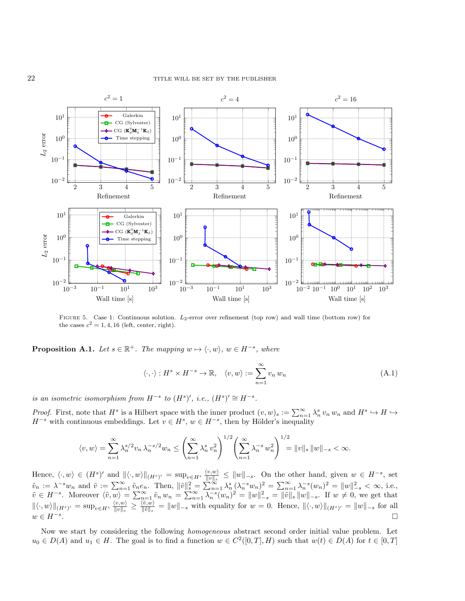<span id="page-21-2"></span>

FIGURE 5. Case 1: Continuous solution.  $L_2$ -error over refinement (top row) and wall time (bottom row) for the cases  $c^2 = 1, 4, 16$  (left, center, right).

<span id="page-21-0"></span>**Proposition A.1.** Let  $s \in \mathbb{R}^+$ . The mapping  $w \mapsto \langle \cdot, w \rangle$ ,  $w \in H^{-s}$ , where

<span id="page-21-1"></span>
$$
\langle \cdot, \cdot \rangle : H^s \times H^{-s} \to \mathbb{R}, \quad \langle v, w \rangle := \sum_{n=1}^{\infty} v_n w_n \tag{A.1}
$$

is an isometric isomorphism from  $H^{-s}$  to  $(H^{s})'$ , i.e.,  $(H^{s})' \cong H^{-s}$ .

*Proof.* First, note that  $H^s$  is a Hilbert space with the inner product  $(v, w)_s := \sum_{n=1}^{\infty} \lambda_n^s v_n w_n$  and  $H^s \hookrightarrow H \hookrightarrow$  $H^{-s}$  with continuous embeddings. Let  $v \in H^s$ ,  $w \in H^{-s}$ , then by Hölder's inequality

$$
\langle v, w \rangle = \sum_{n=1}^{\infty} \lambda_n^{s/2} v_n \, \lambda_n^{-s/2} w_n \le \left( \sum_{n=1}^{\infty} \lambda_n^s \, v_n^2 \right)^{1/2} \left( \sum_{n=1}^{\infty} \lambda_n^{-s} \, w_n^2 \right)^{1/2} = ||v||_s \, ||w||_{-s} < \infty.
$$

Hence,  $\langle \cdot, w \rangle \in (H^s)'$  and  $\|\langle \cdot, w \rangle\|_{(H^s)'} = \sup_{v \in H^s} \frac{\langle v, w \rangle}{\|v\|_{s}}$  $\frac{\langle v, w \rangle}{\|v\|_s}$  ≤  $\|w\|_{-s}$ . On the other hand, given  $w \in H^{-s}$ , set  $\tilde{v}_n := \lambda^{-s} w_n$  and  $\tilde{v} := \sum_{n=1}^{\infty} \tilde{v}_n e_n$ . Then,  $\|\tilde{v}\|_{s}^{2} = \sum_{n=1}^{\infty} \lambda_n^{s} (\lambda_n^{-s} w_n)^{2} = \sum_{n=1}^{\infty} \lambda_n^{-s} (w_n)^{2} = \|w\|_{-s}^{2} < \infty$ , i.e.,  $\tilde{v} \in H^{-s}$ . Moreover  $\langle \tilde{v}, w \rangle = \sum_{n=1}^{\infty} \tilde{v}_n w_n = \sum_{n=1}^{\infty} \lambda_n^{-s} (w_n)^2 = ||w||_{-s}^2 = ||\tilde{v}||_{s} ||w||_{-s}$ . If  $w \neq 0$ , we get that  $\|\langle \cdot, w \rangle\|_{(H^s)'} = \sup_{v \in H^s} \frac{\langle v, w \rangle}{\|v\|_{s}}$  $\frac{\langle v, w \rangle}{\|v\|_s} \geq \frac{\langle \tilde{v}, w \rangle}{\|\tilde{v}\|_s}$  $\frac{\partial \langle v, w \rangle}{\|\tilde{v}\|_s} = \|w\|_{-s}$  with equality for  $w = 0$ . Hence,  $\|\langle \cdot, w \rangle\|_{(H^s)'} = \|w\|_{-s}$  for all  $w \in H^{-s}$ . .

Now we start by considering the following homogeneous abstract second order initial value problem. Let  $u_0 \in D(A)$  and  $u_1 \in H$ . The goal is to find a function  $w \in C^2([0,T], H)$  such that  $w(t) \in D(A)$  for  $t \in [0,T]$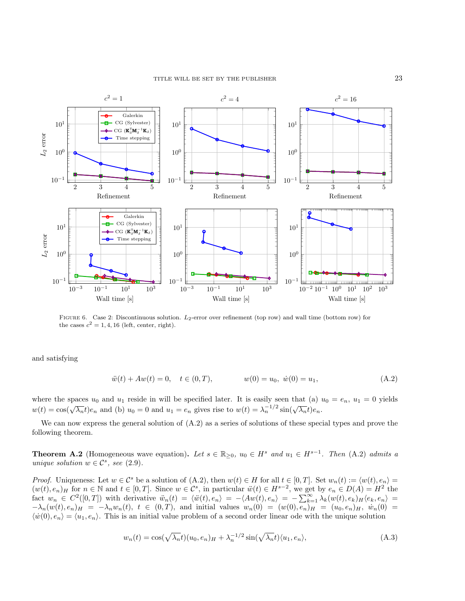#### TITLE WILL BE SET BY THE PUBLISHER 23

<span id="page-22-0"></span>

FIGURE 6. Case 2: Discontinuous solution.  $L_2$ -error over refinement (top row) and wall time (bottom row) for the cases  $c^2 = 1, 4, 16$  (left, center, right).

and satisfying

<span id="page-22-1"></span>
$$
\ddot{w}(t) + Aw(t) = 0, \quad t \in (0, T), \qquad w(0) = u_0, \ \dot{w}(0) = u_1,\tag{A.2}
$$

where the spaces  $u_0$  and  $u_1$  reside in will be specified later. It is easily seen that (a)  $u_0 = e_n$ ,  $u_1 = 0$  yields where the spaces  $u_0$  and  $u_1$  restac in with be specified rate. To is easily seen that  $\langle u \rangle$  is  $w(t) = \cos(\sqrt{\lambda_n}t)e_n$  and  $\langle b \rangle u_0 = 0$  and  $u_1 = e_n$  gives rise to  $w(t) = \lambda_n^{-1/2} \sin(\sqrt{\lambda_n}t)e_n$ .

We can now express the general solution of  $(A.2)$  as a series of solutions of these special types and prove the following theorem.

<span id="page-22-3"></span>**Theorem A.2** (Homogeneous wave equation). Let  $s \in \mathbb{R}_{\geq 0}$ ,  $u_0 \in H^s$  and  $u_1 \in H^{s-1}$ . Then [\(A.2\)](#page-22-1) admits a unique solution  $w \in \mathcal{C}^s$ , see [\(2.9\)](#page-3-1).

*Proof.* Uniqueness: Let  $w \in \mathcal{C}^s$  be a solution of  $(A.2)$ , then  $w(t) \in H$  for all  $t \in [0,T]$ . Set  $w_n(t) := \langle w(t), e_n \rangle =$  $(w(t), e_n)_H$  for  $n \in \mathbb{N}$  and  $t \in [0, T]$ . Since  $w \in \mathcal{C}^s$ , in particular  $\ddot{w}(t) \in H^{s-2}$ , we get by  $e_n \in D(A) = H^2$  the fact  $w_n \in C^2([0,T])$  with derivative  $\ddot{w}_n(t) = \langle \ddot{w}(t), e_n \rangle = -\langle Aw(t), e_n \rangle = -\sum_{k=1}^{\infty} \lambda_k(w(t), e_k) H(e_k, e_n) =$  $-\lambda_n(w(t), e_n)_H = -\lambda_n w_n(t), t \in (0,T),$  and initial values  $w_n(0) = (w(0), e_n)_H = (u_0, e_n)_H$ ,  $\dot{w}_n(0) =$  $\langle \dot{w}(0), e_n \rangle = \langle u_1, e_n \rangle$ . This is an initial value problem of a second order linear ode with the unique solution

<span id="page-22-2"></span>
$$
w_n(t) = \cos(\sqrt{\lambda_n}t)(u_0, e_n)_H + \lambda_n^{-1/2}\sin(\sqrt{\lambda_n}t)\langle u_1, e_n\rangle,
$$
\n(A.3)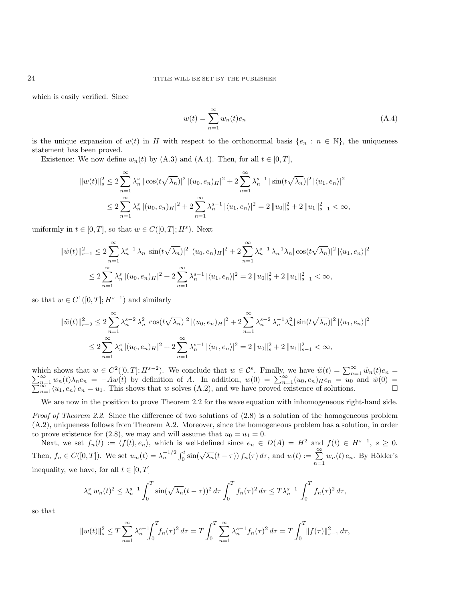which is easily verified. Since

<span id="page-23-0"></span>
$$
w(t) = \sum_{n=1}^{\infty} w_n(t)e_n \tag{A.4}
$$

is the unique expansion of  $w(t)$  in H with respect to the orthonormal basis  $\{e_n : n \in \mathbb{N}\}\$ , the uniqueness statement has been proved.

Existence: We now define  $w_n(t)$  by [\(A.3\)](#page-22-2) and [\(A.4\)](#page-23-0). Then, for all  $t \in [0, T]$ ,

$$
||w(t)||_{s}^{2} \leq 2 \sum_{n=1}^{\infty} \lambda_{n}^{s} |\cos(t\sqrt{\lambda_{n}})|^{2} |(u_{0}, e_{n})_{H}|^{2} + 2 \sum_{n=1}^{\infty} \lambda_{n}^{s-1} |\sin(t\sqrt{\lambda_{n}})|^{2} |\langle u_{1}, e_{n} \rangle|^{2}
$$
  

$$
\leq 2 \sum_{n=1}^{\infty} \lambda_{n}^{s} |(u_{0}, e_{n})_{H}|^{2} + 2 \sum_{n=1}^{\infty} \lambda_{n}^{s-1} |\langle u_{1}, e_{n} \rangle|^{2} = 2 ||u_{0}||_{s}^{2} + 2 ||u_{1}||_{s-1}^{2} < \infty,
$$

uniformly in  $t \in [0, T]$ , so that  $w \in C([0, T]; H^s)$ . Next

$$
||\dot{w}(t)||_{s-1}^{2} \leq 2 \sum_{n=1}^{\infty} \lambda_{n}^{s-1} \lambda_{n} |\sin(t\sqrt{\lambda_{n}})|^{2} |(u_{0}, e_{n})_{H}|^{2} + 2 \sum_{n=1}^{\infty} \lambda_{n}^{s-1} \lambda_{n}^{-1} \lambda_{n} |\cos(t\sqrt{\lambda_{n}})|^{2} |(u_{1}, e_{n})|^{2}
$$
  

$$
\leq 2 \sum_{n=1}^{\infty} \lambda_{n}^{s} |(u_{0}, e_{n})_{H}|^{2} + 2 \sum_{n=1}^{\infty} \lambda_{n}^{s-1} |\langle u_{1}, e_{n} \rangle|^{2} = 2 ||u_{0}||_{s}^{2} + 2 ||u_{1}||_{s-1}^{2} < \infty,
$$

so that  $w \in C^1([0,T]; H^{s-1})$  and similarly

$$
\|\ddot{w}(t)\|_{s-2}^2 \le 2 \sum_{n=1}^{\infty} \lambda_n^{s-2} \lambda_n^2 |\cos(t\sqrt{\lambda_n})|^2 |(u_0, e_n)_H|^2 + 2 \sum_{n=1}^{\infty} \lambda_n^{s-2} \lambda_n^{-1} \lambda_n^2 |\sin(t\sqrt{\lambda_n})|^2 |\langle u_1, e_n \rangle|^2
$$
  

$$
\le 2 \sum_{n=1}^{\infty} \lambda_n^s |(u_0, e_n)_H|^2 + 2 \sum_{n=1}^{\infty} \lambda_n^{s-1} |\langle u_1, e_n \rangle|^2 = 2 ||u_0||_s^2 + 2 ||u_1||_{s-1}^2 < \infty,
$$

which shows that  $w \in C^2([0,T]; H^{s-2})$ . We conclude that  $w \in C^s$ . Finally, we have  $\ddot{w}(t) = \sum_{n=1}^{\infty} \sum_{n=1}^{\infty} u_n(t) \lambda_n e_n = -Aw(t)$  by definition of A. In addition,  $w(0) = \sum_{n=1}^{\infty} (u_0, e_n)_{H} e_n = u_0$  as which shows that  $w \in C^2([0,T]; H^{s-2})$ . We conclude that  $w \in C^s$ . Finally, we have  $\ddot{w}(t) = \sum_{n=1}^{\infty} \ddot{w}_n(t)e_n = \sum_{n=1}^{\infty} w_n(t)\lambda_n e_n = -Aw(t)$  by definition of A. In addition,  $w(0) = \sum_{n=1}^{\infty} (u_0, e_n)He_n = u_0$  and  $\dot{w}(0) =$  $\sum_{n=1}^{\infty} w_n(t)\lambda_n e_n = -Aw(t)$  by definition of A. In addition,  $w(0) = \sum_{n=1}^{\infty} (u_0, e_n)He_n = u_0$  and  $\dot{w}(0) = \sum_{n=1}^{\infty} \langle u_1, e_n \rangle e_n = u_1$ . This shows that w solves [\(A.2\)](#page-22-1), and we have proved existence of solutions.

We are now in the position to prove Theorem [2.2](#page-3-3) for the wave equation with inhomogeneous right-hand side.

Proof of Theorem [2.2.](#page-3-3) Since the difference of two solutions of  $(2.8)$  is a solution of the homogeneous problem [\(A.2\)](#page-22-1), uniqueness follows from Theorem [A.2.](#page-22-3) Moreover, since the homogeneous problem has a solution, in order to prove existence for [\(2.8\)](#page-3-0), we may and will assume that  $u_0 = u_1 = 0$ .

Next, we set  $f_n(t) := \langle f(t), e_n \rangle$ , which is well-defined since  $e_n \in D(A) = H^2$  and  $f(t) \in H^{s-1}$ ,  $s \geq 0$ . Then,  $f_n \in C([0,T])$ . We set  $w_n(t) = \lambda_n^{-1/2} \int_0^t \sin(\sqrt{\lambda_n}(t-\tau)) f_n(\tau) d\tau$ , and  $w(t) := \sum_{n=1}^\infty w_n(t) e_n$ . By Hölder's inequality, we have, for all  $t \in [0, T]$ 

$$
\lambda_n^s w_n(t)^2 \leq \lambda_n^{s-1} \int_0^T \sin(\sqrt{\lambda_n}(t-\tau))^2 d\tau \int_0^T f_n(\tau)^2 d\tau \leq T \lambda_n^{s-1} \int_0^T f_n(\tau)^2 d\tau,
$$

so that

$$
||w(t)||_s^2 \le T \sum_{n=1}^{\infty} \lambda_n^{s-1} \int_0^T f_n(\tau)^2 d\tau = T \int_0^T \sum_{n=1}^{\infty} \lambda_n^{s-1} f_n(\tau)^2 d\tau = T \int_0^T ||f(\tau)||_{s-1}^2 d\tau,
$$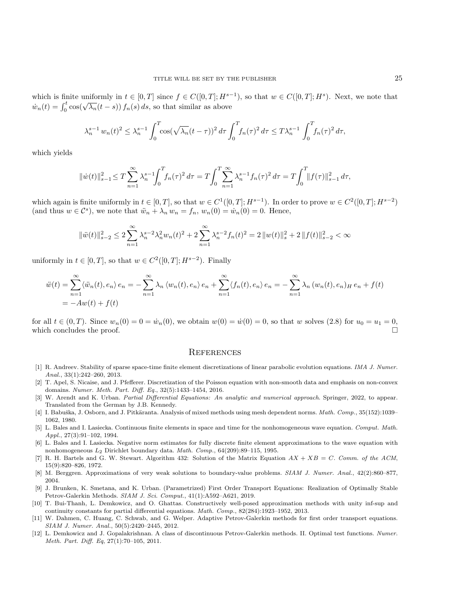which is finite uniformly in  $t \in [0, T]$  since  $f \in C([0, T]; H^{s-1})$ , so that  $w \in C([0, T]; H^s)$ . Next, we note that which is finite uniformly in  $t \in [0, 1]$  since  $f \in C([0, 1], \Omega)$ <br>  $\dot{w}_n(t) = \int_0^t \cos(\sqrt{\lambda_n}(t-s)) f_n(s) ds$ , so that similar as above

$$
\lambda_n^{s-1} w_n(t)^2 \leq \lambda_n^{s-1} \int_0^T \cos(\sqrt{\lambda_n}(t-\tau))^2 d\tau \int_0^T f_n(\tau)^2 d\tau \leq T \lambda_n^{s-1} \int_0^T f_n(\tau)^2 d\tau,
$$

which yields

$$
\|\dot{w}(t)\|_{s-1}^2 \le T \sum_{n=1}^{\infty} \lambda_n^{s-1} \int_0^T f_n(\tau)^2 d\tau = T \int_0^T \sum_{n=1}^{\infty} \lambda_n^{s-1} f_n(\tau)^2 d\tau = T \int_0^T \|f(\tau)\|_{s-1}^2 d\tau,
$$

which again is finite uniformly in  $t \in [0, T]$ , so that  $w \in C^1([0, T]; H^{s-1})$ . In order to prove  $w \in C^2([0, T]; H^{s-2})$ (and thus  $w \in \mathcal{C}^s$ ), we note that  $\ddot{w}_n + \lambda_n w_n = f_n$ ,  $w_n(0) = \dot{w}_n(0) = 0$ . Hence,

$$
\|\ddot{w}(t)\|_{s-2}^2 \le 2\sum_{n=1}^{\infty} \lambda_n^{s-2} \lambda_n^2 w_n(t)^2 + 2\sum_{n=1}^{\infty} \lambda_n^{s-2} f_n(t)^2 = 2\|w(t)\|_{s}^2 + 2\|f(t)\|_{s-2}^2 < \infty
$$

uniformly in  $t \in [0, T]$ , so that  $w \in C^2([0, T]; H^{s-2})$ . Finally

$$
\ddot{w}(t) = \sum_{n=1}^{\infty} \langle \ddot{w}_n(t), e_n \rangle e_n = -\sum_{n=1}^{\infty} \lambda_n \langle w_n(t), e_n \rangle e_n + \sum_{n=1}^{\infty} \langle f_n(t), e_n \rangle e_n = -\sum_{n=1}^{\infty} \lambda_n (w_n(t), e_n)_{H} e_n + f(t)
$$
  
=  $-Aw(t) + f(t)$ 

for all  $t \in (0, T)$ . Since  $w_n(0) = 0 = \dot{w}_n(0)$ , we obtain  $w(0) = \dot{w}(0) = 0$ , so that w solves [\(2.8\)](#page-3-0) for  $u_0 = u_1 = 0$ , which concludes the proof.

#### **REFERENCES**

- <span id="page-24-0"></span>[1] R. Andreev. Stability of sparse space-time finite element discretizations of linear parabolic evolution equations. IMA J. Numer. Anal., 33(1):242–260, 2013.
- <span id="page-24-6"></span>[2] T. Apel, S. Nicaise, and J. Pfefferer. Discretization of the Poisson equation with non-smooth data and emphasis on non-convex domains. Numer. Meth. Part. Diff. Eq., 32(5):1433–1454, 2016.
- <span id="page-24-5"></span>[3] W. Arendt and K. Urban. Partial Differential Equations: An analytic and numerical approach. Springer, 2022, to appear. Translated from the German by J.B. Kennedy.
- <span id="page-24-10"></span>[4] I. Babuška, J. Osborn, and J. Pitkäranta. Analysis of mixed methods using mesh dependent norms. Math. Comp., 35(152):1039-1062, 1980.
- <span id="page-24-3"></span>[5] L. Bales and I. Lasiecka. Continuous finite elements in space and time for the nonhomogeneous wave equation. Comput. Math. Appl., 27(3):91–102, 1994.
- <span id="page-24-4"></span>[6] L. Bales and I. Lasiecka. Negative norm estimates for fully discrete finite element approximations to the wave equation with nonhomogeneous L<sup>2</sup> Dirichlet boundary data. Math. Comp., 64(209):89–115, 1995.
- <span id="page-24-11"></span>[7] R. H. Bartels and G. W. Stewart. Algorithm 432: Solution of the Matrix Equation  $AX + XB = C$ . Comm. of the ACM, 15(9):820–826, 1972.
- <span id="page-24-7"></span>[8] M. Berggren. Approximations of very weak solutions to boundary-value problems. SIAM J. Numer. Anal., 42(2):860–877, 2004.
- <span id="page-24-1"></span>[9] J. Brunken, K. Smetana, and K. Urban. (Parametrized) First Order Transport Equations: Realization of Optimally Stable Petrov-Galerkin Methods. SIAM J. Sci. Comput., 41(1):A592–A621, 2019.
- <span id="page-24-8"></span>[10] T. Bui-Thanh, L. Demkowicz, and O. Ghattas. Constructively well-posed approximation methods with unity inf-sup and continuity constants for partial differential equations. Math. Comp., 82(284):1923–1952, 2013.
- <span id="page-24-2"></span>[11] W. Dahmen, C. Huang, C. Schwab, and G. Welper. Adaptive Petrov-Galerkin methods for first order transport equations. SIAM J. Numer. Anal., 50(5):2420–2445, 2012.
- <span id="page-24-9"></span>[12] L. Demkowicz and J. Gopalakrishnan. A class of discontinuous Petrov-Galerkin methods. II. Optimal test functions. Numer. Meth. Part. Diff. Eq, 27(1):70–105, 2011.